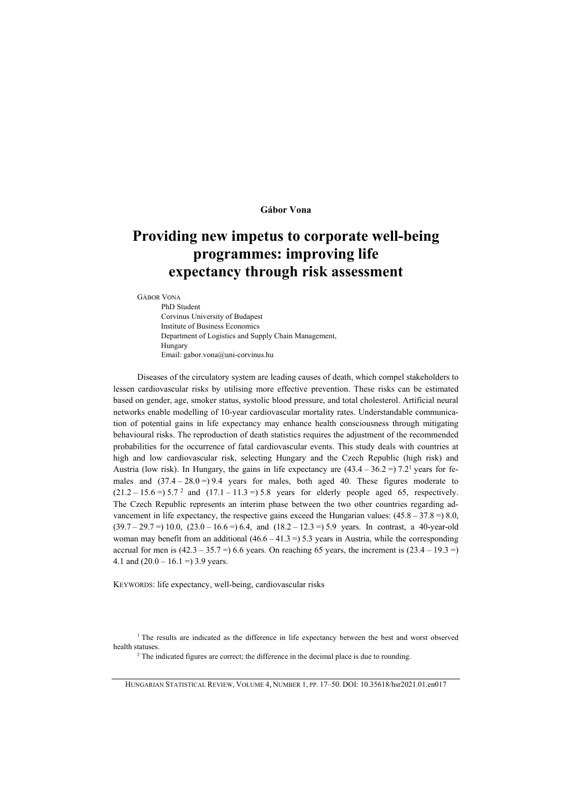### **Gábor Vona**

# **Providing new impetus to corporate well-being programmes: improving life expectancy through risk assessment**

GÁBOR VONA

PhD Student Corvinus University of Budapest Institute of Business Economics Department of Logistics and Supply Chain Management, Hungary Email: gabor.vona@uni-corvinus.hu

Diseases of the circulatory system are leading causes of death, which compel stakeholders to lessen cardiovascular risks by utilising more effective prevention. These risks can be estimated based on gender, age, smoker status, systolic blood pressure, and total cholesterol. Artificial neural networks enable modelling of 10-year cardiovascular mortality rates. Understandable communication of potential gains in life expectancy may enhance health consciousness through mitigating behavioural risks. The reproduction of death statistics requires the adjustment of the recommended probabilities for the occurrence of fatal cardiovascular events. This study deals with countries at high and low cardiovascular risk, selecting Hungary and the Czech Republic (high risk) and Austria (low risk). In Hungary, the gains in life expectancy are  $(43.4 - 36.2 =) 7.2<sup>1</sup>$  years for females and  $(37.4 - 28.0 =) 9.4$  years for males, both aged 40. These figures moderate to  $(21.2 - 15.6 =) 5.7^2$  and  $(17.1 - 11.3 =) 5.8$  years for elderly people aged 65, respectively. The Czech Republic represents an interim phase between the two other countries regarding advancement in life expectancy, the respective gains exceed the Hungarian values:  $(45.8 - 37.8 = 8.0,$  $(39.7 - 29.7) = 10.0$ ,  $(23.0 - 16.6) = 6.4$ , and  $(18.2 - 12.3) = 5.9$  years. In contrast, a 40-year-old woman may benefit from an additional  $(46.6 - 41.3 = 5.3$  years in Austria, while the corresponding accrual for men is  $(42.3 - 35.7) = 6.6$  years. On reaching 65 years, the increment is  $(23.4 - 19.3)$ 4.1 and  $(20.0 - 16.1 =) 3.9$  years.

KEYWORDS: life expectancy, well-being, cardiovascular risks

<sup>1</sup> The results are indicated as the difference in life expectancy between the best and worst observed health statuses

<sup>2</sup> The indicated figures are correct; the difference in the decimal place is due to rounding.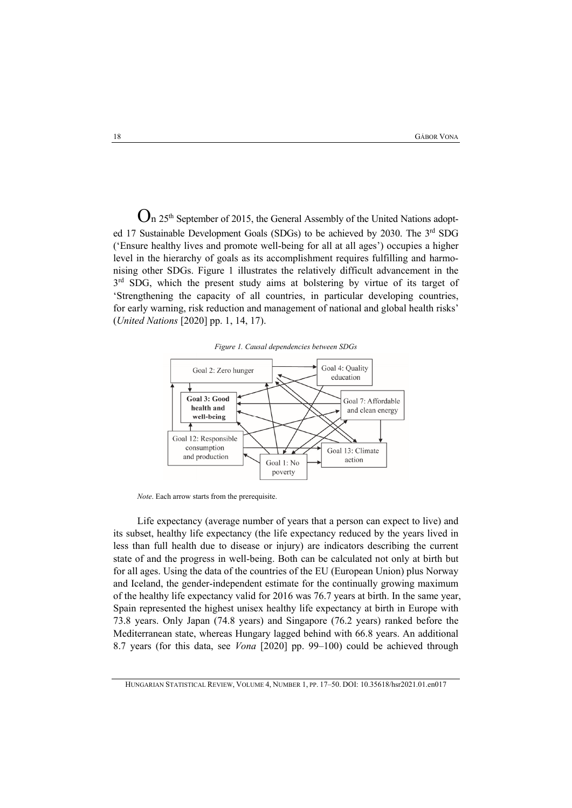$\mathbf{O}_n$  25<sup>th</sup> September of 2015, the General Assembly of the United Nations adopted 17 Sustainable Development Goals (SDGs) to be achieved by 2030. The 3rd SDG ('Ensure healthy lives and promote well-being for all at all ages') occupies a higher level in the hierarchy of goals as its accomplishment requires fulfilling and harmonising other SDGs. Figure 1 illustrates the relatively difficult advancement in the 3<sup>rd</sup> SDG, which the present study aims at bolstering by virtue of its target of 'Strengthening the capacity of all countries, in particular developing countries, for early warning, risk reduction and management of national and global health risks' (*United Nations* [2020] pp. 1, 14, 17).

*Figure 1. Causal dependencies between SDGs* 



*Note*. Each arrow starts from the prerequisite.

Life expectancy (average number of years that a person can expect to live) and its subset, healthy life expectancy (the life expectancy reduced by the years lived in less than full health due to disease or injury) are indicators describing the current state of and the progress in well-being. Both can be calculated not only at birth but for all ages. Using the data of the countries of the EU (European Union) plus Norway and Iceland, the gender-independent estimate for the continually growing maximum of the healthy life expectancy valid for 2016 was 76.7 years at birth. In the same year, Spain represented the highest unisex healthy life expectancy at birth in Europe with 73.8 years. Only Japan (74.8 years) and Singapore (76.2 years) ranked before the Mediterranean state, whereas Hungary lagged behind with 66.8 years. An additional 8.7 years (for this data, see *Vona* [2020] pp. 99–100) could be achieved through

HUNGARIAN STATISTICAL REVIEW, VOLUME 4, NUMBER 1, PP. 17–50. DOI: 10.35618/hsr2021.01.en017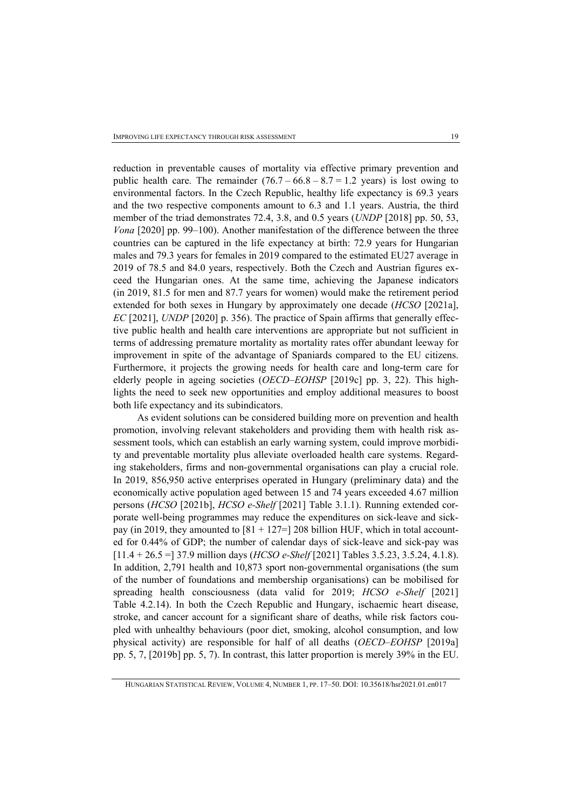reduction in preventable causes of mortality via effective primary prevention and public health care. The remainder  $(76.7 - 66.8 - 8.7 = 1.2$  years) is lost owing to environmental factors. In the Czech Republic, healthy life expectancy is 69.3 years and the two respective components amount to 6.3 and 1.1 years. Austria, the third member of the triad demonstrates 72.4, 3.8, and 0.5 years (*UNDP* [2018] pp. 50, 53, *Vona* [2020] pp. 99–100). Another manifestation of the difference between the three countries can be captured in the life expectancy at birth: 72.9 years for Hungarian males and 79.3 years for females in 2019 compared to the estimated EU27 average in 2019 of 78.5 and 84.0 years, respectively. Both the Czech and Austrian figures exceed the Hungarian ones. At the same time, achieving the Japanese indicators (in 2019, 81.5 for men and 87.7 years for women) would make the retirement period extended for both sexes in Hungary by approximately one decade (*HCSO* [2021a], *EC* [2021], *UNDP* [2020] p. 356). The practice of Spain affirms that generally effective public health and health care interventions are appropriate but not sufficient in terms of addressing premature mortality as mortality rates offer abundant leeway for improvement in spite of the advantage of Spaniards compared to the EU citizens. Furthermore, it projects the growing needs for health care and long-term care for elderly people in ageing societies (*OECD–EOHSP* [2019c] pp. 3, 22). This highlights the need to seek new opportunities and employ additional measures to boost both life expectancy and its subindicators.

As evident solutions can be considered building more on prevention and health promotion, involving relevant stakeholders and providing them with health risk assessment tools, which can establish an early warning system, could improve morbidity and preventable mortality plus alleviate overloaded health care systems. Regarding stakeholders, firms and non-governmental organisations can play a crucial role. In 2019, 856,950 active enterprises operated in Hungary (preliminary data) and the economically active population aged between 15 and 74 years exceeded 4.67 million persons (*HCSO* [2021b], *HCSO e-Shelf* [2021] Table 3.1.1). Running extended corporate well-being programmes may reduce the expenditures on sick-leave and sickpay (in 2019, they amounted to  $[81 + 127 =] 208$  billion HUF, which in total accounted for 0.44% of GDP; the number of calendar days of sick-leave and sick-pay was [11.4 + 26.5 =] 37.9 million days (*HCSO e-Shelf* [2021] Tables 3.5.23, 3.5.24, 4.1.8). In addition, 2,791 health and 10,873 sport non-governmental organisations (the sum of the number of foundations and membership organisations) can be mobilised for spreading health consciousness (data valid for 2019; *HCSO e-Shelf* [2021] Table 4.2.14). In both the Czech Republic and Hungary, ischaemic heart disease, stroke, and cancer account for a significant share of deaths, while risk factors coupled with unhealthy behaviours (poor diet, smoking, alcohol consumption, and low physical activity) are responsible for half of all deaths (*OECD–EOHSP* [2019a] pp. 5, 7, [2019b] pp. 5, 7). In contrast, this latter proportion is merely 39% in the EU.

HUNGARIAN STATISTICAL REVIEW, VOLUME 4, NUMBER 1, PP. 17–50. DOI: 10.35618/hsr2021.01.en017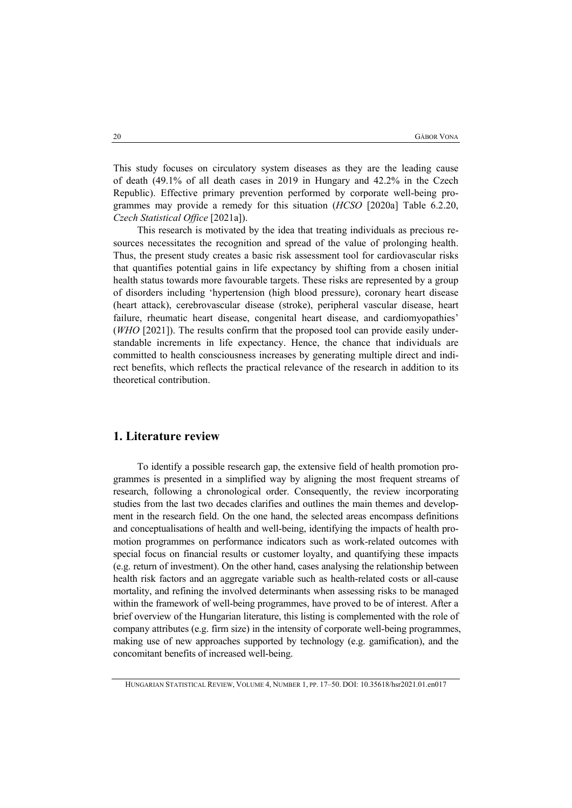This study focuses on circulatory system diseases as they are the leading cause of death (49.1% of all death cases in 2019 in Hungary and 42.2% in the Czech Republic). Effective primary prevention performed by corporate well-being programmes may provide a remedy for this situation (*HCSO* [2020a] Table 6.2.20, *Czech Statistical Office* [2021a]).

This research is motivated by the idea that treating individuals as precious resources necessitates the recognition and spread of the value of prolonging health. Thus, the present study creates a basic risk assessment tool for cardiovascular risks that quantifies potential gains in life expectancy by shifting from a chosen initial health status towards more favourable targets. These risks are represented by a group of disorders including 'hypertension (high blood pressure), coronary heart disease (heart attack), cerebrovascular disease (stroke), peripheral vascular disease, heart failure, rheumatic heart disease, congenital heart disease, and cardiomyopathies' (*WHO* [2021]). The results confirm that the proposed tool can provide easily understandable increments in life expectancy. Hence, the chance that individuals are committed to health consciousness increases by generating multiple direct and indirect benefits, which reflects the practical relevance of the research in addition to its theoretical contribution.

## **1. Literature review**

To identify a possible research gap, the extensive field of health promotion programmes is presented in a simplified way by aligning the most frequent streams of research, following a chronological order. Consequently, the review incorporating studies from the last two decades clarifies and outlines the main themes and development in the research field. On the one hand, the selected areas encompass definitions and conceptualisations of health and well-being, identifying the impacts of health promotion programmes on performance indicators such as work-related outcomes with special focus on financial results or customer loyalty, and quantifying these impacts (e.g. return of investment). On the other hand, cases analysing the relationship between health risk factors and an aggregate variable such as health-related costs or all-cause mortality, and refining the involved determinants when assessing risks to be managed within the framework of well-being programmes, have proved to be of interest. After a brief overview of the Hungarian literature, this listing is complemented with the role of company attributes (e.g. firm size) in the intensity of corporate well-being programmes, making use of new approaches supported by technology (e.g. gamification), and the concomitant benefits of increased well-being.

HUNGARIAN STATISTICAL REVIEW, VOLUME 4, NUMBER 1, PP. 17–50. DOI: 10.35618/hsr2021.01.en017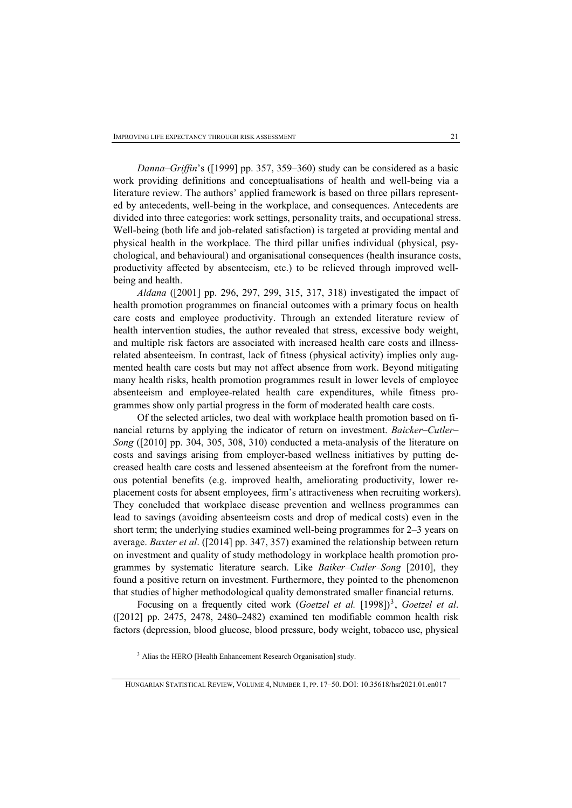*Danna*–*Griffin*'s ([1999] pp. 357, 359–360) study can be considered as a basic work providing definitions and conceptualisations of health and well-being via a literature review. The authors' applied framework is based on three pillars represented by antecedents, well-being in the workplace, and consequences. Antecedents are divided into three categories: work settings, personality traits, and occupational stress. Well-being (both life and job-related satisfaction) is targeted at providing mental and physical health in the workplace. The third pillar unifies individual (physical, psychological, and behavioural) and organisational consequences (health insurance costs, productivity affected by absenteeism, etc.) to be relieved through improved wellbeing and health.

*Aldana* ([2001] pp. 296, 297, 299, 315, 317, 318) investigated the impact of health promotion programmes on financial outcomes with a primary focus on health care costs and employee productivity. Through an extended literature review of health intervention studies, the author revealed that stress, excessive body weight, and multiple risk factors are associated with increased health care costs and illnessrelated absenteeism. In contrast, lack of fitness (physical activity) implies only augmented health care costs but may not affect absence from work. Beyond mitigating many health risks, health promotion programmes result in lower levels of employee absenteeism and employee-related health care expenditures, while fitness programmes show only partial progress in the form of moderated health care costs.

Of the selected articles, two deal with workplace health promotion based on financial returns by applying the indicator of return on investment. *Baicker*–*Cutler*– *Song* ([2010] pp. 304, 305, 308, 310) conducted a meta-analysis of the literature on costs and savings arising from employer-based wellness initiatives by putting decreased health care costs and lessened absenteeism at the forefront from the numerous potential benefits (e.g. improved health, ameliorating productivity, lower replacement costs for absent employees, firm's attractiveness when recruiting workers). They concluded that workplace disease prevention and wellness programmes can lead to savings (avoiding absenteeism costs and drop of medical costs) even in the short term; the underlying studies examined well-being programmes for 2–3 years on average. *Baxter et al*. ([2014] pp. 347, 357) examined the relationship between return on investment and quality of study methodology in workplace health promotion programmes by systematic literature search. Like *Baiker*–*Cutler–Song* [2010], they found a positive return on investment. Furthermore, they pointed to the phenomenon that studies of higher methodological quality demonstrated smaller financial returns.

Focusing on a frequently cited work (*Goetzel et al.* [1998])<sup>3</sup>, *Goetzel et al.* ([2012] pp. 2475, 2478, 2480–2482) examined ten modifiable common health risk factors (depression, blood glucose, blood pressure, body weight, tobacco use, physical

<sup>3</sup> Alias the HERO [Health Enhancement Research Organisation] study.

HUNGARIAN STATISTICAL REVIEW, VOLUME 4, NUMBER 1, PP. 17–50. DOI: 10.35618/hsr2021.01.en017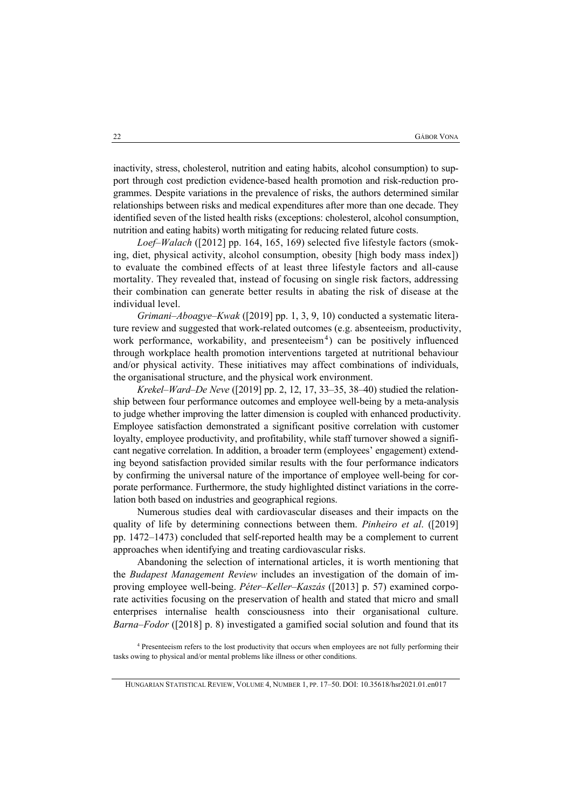inactivity, stress, cholesterol, nutrition and eating habits, alcohol consumption) to support through cost prediction evidence-based health promotion and risk-reduction programmes. Despite variations in the prevalence of risks, the authors determined similar relationships between risks and medical expenditures after more than one decade. They identified seven of the listed health risks (exceptions: cholesterol, alcohol consumption, nutrition and eating habits) worth mitigating for reducing related future costs.

*Loef–Walach* ([2012] pp. 164, 165, 169) selected five lifestyle factors (smoking, diet, physical activity, alcohol consumption, obesity [high body mass index]) to evaluate the combined effects of at least three lifestyle factors and all-cause mortality. They revealed that, instead of focusing on single risk factors, addressing their combination can generate better results in abating the risk of disease at the individual level.

*Grimani*–*Aboagye*–*Kwak* ([2019] pp. 1, 3, 9, 10) conducted a systematic literature review and suggested that work-related outcomes (e.g. absenteeism, productivity, work performance, workability, and presenteeism<sup>4</sup>) can be positively influenced through workplace health promotion interventions targeted at nutritional behaviour and/or physical activity. These initiatives may affect combinations of individuals, the organisational structure, and the physical work environment.

*Krekel*–*Ward*–*De Neve* ([2019] pp. 2, 12, 17, 33–35, 38–40) studied the relationship between four performance outcomes and employee well-being by a meta-analysis to judge whether improving the latter dimension is coupled with enhanced productivity. Employee satisfaction demonstrated a significant positive correlation with customer loyalty, employee productivity, and profitability, while staff turnover showed a significant negative correlation. In addition, a broader term (employees' engagement) extending beyond satisfaction provided similar results with the four performance indicators by confirming the universal nature of the importance of employee well-being for corporate performance. Furthermore, the study highlighted distinct variations in the correlation both based on industries and geographical regions.

Numerous studies deal with cardiovascular diseases and their impacts on the quality of life by determining connections between them. *Pinheiro et al*. ([2019] pp. 1472–1473) concluded that self-reported health may be a complement to current approaches when identifying and treating cardiovascular risks.

Abandoning the selection of international articles, it is worth mentioning that the *Budapest Management Review* includes an investigation of the domain of improving employee well-being. *Péter*–*Keller*–*Kaszás* ([2013] p. 57) examined corporate activities focusing on the preservation of health and stated that micro and small enterprises internalise health consciousness into their organisational culture. *Barna*–*Fodor* ([2018] p. 8) investigated a gamified social solution and found that its

4 Presenteeism refers to the lost productivity that occurs when employees are not fully performing their tasks owing to physical and/or mental problems like illness or other conditions.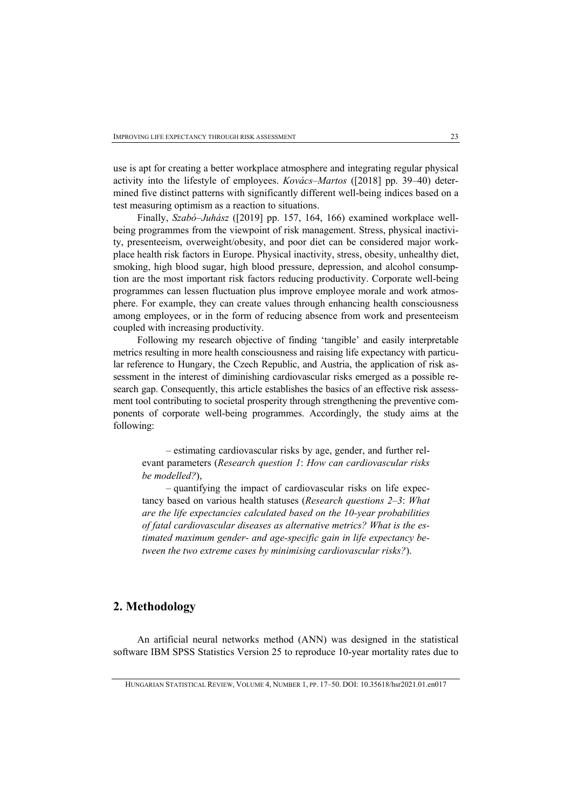use is apt for creating a better workplace atmosphere and integrating regular physical activity into the lifestyle of employees. *Kovács*–*Martos* ([2018] pp. 39–40) determined five distinct patterns with significantly different well-being indices based on a test measuring optimism as a reaction to situations.

Finally, *Szabó*–*Juhász* ([2019] pp. 157, 164, 166) examined workplace wellbeing programmes from the viewpoint of risk management. Stress, physical inactivity, presenteeism, overweight/obesity, and poor diet can be considered major workplace health risk factors in Europe. Physical inactivity, stress, obesity, unhealthy diet, smoking, high blood sugar, high blood pressure, depression, and alcohol consumption are the most important risk factors reducing productivity. Corporate well-being programmes can lessen fluctuation plus improve employee morale and work atmosphere. For example, they can create values through enhancing health consciousness among employees, or in the form of reducing absence from work and presenteeism coupled with increasing productivity.

Following my research objective of finding 'tangible' and easily interpretable metrics resulting in more health consciousness and raising life expectancy with particular reference to Hungary, the Czech Republic, and Austria, the application of risk assessment in the interest of diminishing cardiovascular risks emerged as a possible research gap. Consequently, this article establishes the basics of an effective risk assessment tool contributing to societal prosperity through strengthening the preventive components of corporate well-being programmes. Accordingly, the study aims at the following:

– estimating cardiovascular risks by age, gender, and further relevant parameters (*Research question 1*: *How can cardiovascular risks be modelled?*),

– quantifying the impact of cardiovascular risks on life expectancy based on various health statuses (*Research questions 2–3*: *What are the life expectancies calculated based on the 10-year probabilities of fatal cardiovascular diseases as alternative metrics? What is the estimated maximum gender- and age-specific gain in life expectancy between the two extreme cases by minimising cardiovascular risks?*).

## **2. Methodology**

An artificial neural networks method (ANN) was designed in the statistical software IBM SPSS Statistics Version 25 to reproduce 10-year mortality rates due to

HUNGARIAN STATISTICAL REVIEW, VOLUME 4, NUMBER 1, PP. 17–50. DOI: 10.35618/hsr2021.01.en017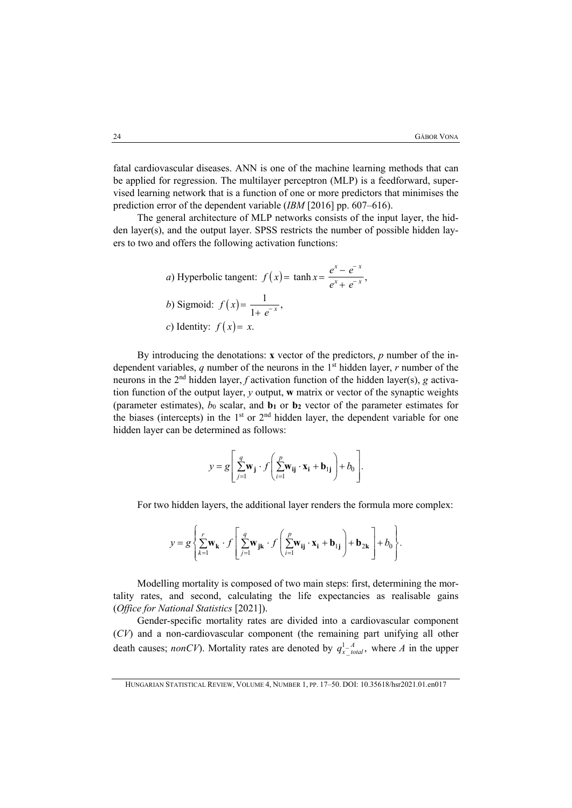fatal cardiovascular diseases. ANN is one of the machine learning methods that can be applied for regression. The multilayer perceptron (MLP) is a feedforward, supervised learning network that is a function of one or more predictors that minimises the prediction error of the dependent variable (*IBM* [2016] pp. 607–616).

The general architecture of MLP networks consists of the input layer, the hidden layer(s), and the output layer. SPSS restricts the number of possible hidden layers to two and offers the following activation functions:

*a)* Hyperbolic tangent: 
$$
f(x) = \tanh x = \frac{e^x - e^{-x}}{e^x + e^{-x}}
$$
,  
\n*b)* Sigmoid:  $f(x) = \frac{1}{1 + e^{-x}}$ ,  
\n*c)* Identity:  $f(x) = x$ .

By introducing the denotations: **x** vector of the predictors, *p* number of the independent variables, *q* number of the neurons in the 1<sup>st</sup> hidden layer, *r* number of the neurons in the 2nd hidden layer, *f* activation function of the hidden layer(s), *g* activation function of the output layer, *y* output, **w** matrix or vector of the synaptic weights (parameter estimates),  $b_0$  scalar, and  $\mathbf{b}_1$  or  $\mathbf{b}_2$  vector of the parameter estimates for the biases (intercepts) in the  $1<sup>st</sup>$  or  $2<sup>nd</sup>$  hidden layer, the dependent variable for one hidden layer can be determined as follows:

$$
y = g \left[ \sum_{j=1}^{q} \mathbf{w}_{j} \cdot f \left( \sum_{i=1}^{p} \mathbf{w}_{ij} \cdot \mathbf{x}_{i} + \mathbf{b}_{1j} \right) + b_{0} \right].
$$

For two hidden layers, the additional layer renders the formula more complex:

$$
y = g\left\{\sum_{k=1}^r \mathbf{w_k} \cdot f\left[\sum_{j=1}^q \mathbf{w_{jk}} \cdot f\left(\sum_{i=1}^p \mathbf{w_{ij}} \cdot \mathbf{x_i} + \mathbf{b_{1j}}\right) + \mathbf{b_{2k}}\right] + b_0\right\}.
$$

Modelling mortality is composed of two main steps: first, determining the mortality rates, and second, calculating the life expectancies as realisable gains (*Office for National Statistics* [2021]).

Gender-specific mortality rates are divided into a cardiovascular component (*CV*) and a non-cardiovascular component (the remaining part unifying all other death causes; *nonCV*). Mortality rates are denoted by  $q_x^{\perp A}$  where *A* in the upper

HUNGARIAN STATISTICAL REVIEW, VOLUME 4, NUMBER 1, PP. 17–50. DOI: 10.35618/hsr2021.01.en017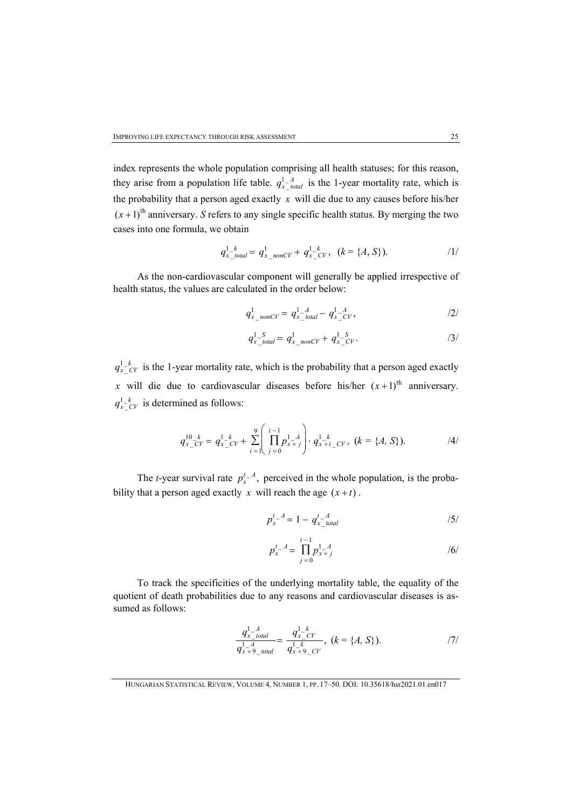index represents the whole population comprising all health statuses; for this reason, they arise from a population life table.  $q_{x\_total}^{1-A}$  is the 1-year mortality rate, which is the probability that a person aged exactly  $x$  will die due to any causes before his/her  $(x+1)$ <sup>th</sup> anniversary. *S* refers to any single specific health status. By merging the two cases into one formula, we obtain

$$
q_{x\_total}^{1-k} = q_{x\_nonCV}^{1} + q_{x\_CV}^{1-k}, \quad (k = \{A, S\}).
$$

As the non-cardiovascular component will generally be applied irrespective of health status, the values are calculated in the order below:

$$
q_{x\_nonCV}^1 = q_{x\_total}^{1-4} - q_{x\_CV}^{1-4}, \qquad (2)
$$

$$
q_{x\_total}^{1-S} = q_{x\_nonCV}^{1} + q_{x\_CV}^{1-S}.
$$
 (3)

 $q_x^1$ <sup> $-k$ </sup><sub>*CV*</sub> is the 1-year mortality rate, which is the probability that a person aged exactly *x* will die due to cardiovascular diseases before his/her  $(x+1)$ <sup>th</sup> anniversary.  $q_x^{1-k}$  *cv* is determined as follows:

$$
q_{x\_CV}^{10\_k} = q_{x\_CV}^{1\_k} + \sum_{i=1}^{9} \left( \prod_{j=0}^{i-1} p_{x+j}^{1\_A} \right) \cdot q_{x+i\_CV}^{1\_k}, \ (k = \{A, S\}). \tag{4/}
$$

The *t*-year survival rate  $p_x^{t-4}$ , perceived in the whole population, is the probability that a person aged exactly *x* will reach the age  $(x + t)$ .

$$
p_x^{t-4} = 1 - q_{x\_total}^{t-4}
$$

$$
p_x^{t} = \prod_{j=0}^{t-1} p_{x+j}^{1-A} \tag{6/}
$$

To track the specificities of the underlying mortality table, the equality of the quotient of death probabilities due to any reasons and cardiovascular diseases is assumed as follows:

$$
\frac{q_{x\_total}^{1-A}}{q_{x+9\_total}^{1-A}} = \frac{q_{x\_CV}^{1-k}}{q_{x+9\_CV}^{1-k}}, \ (k = \{A, S\}). \tag{7/}
$$

HUNGARIAN STATISTICAL REVIEW, VOLUME 4, NUMBER 1, PP. 17–50. DOI: 10.35618/hsr2021.01.en017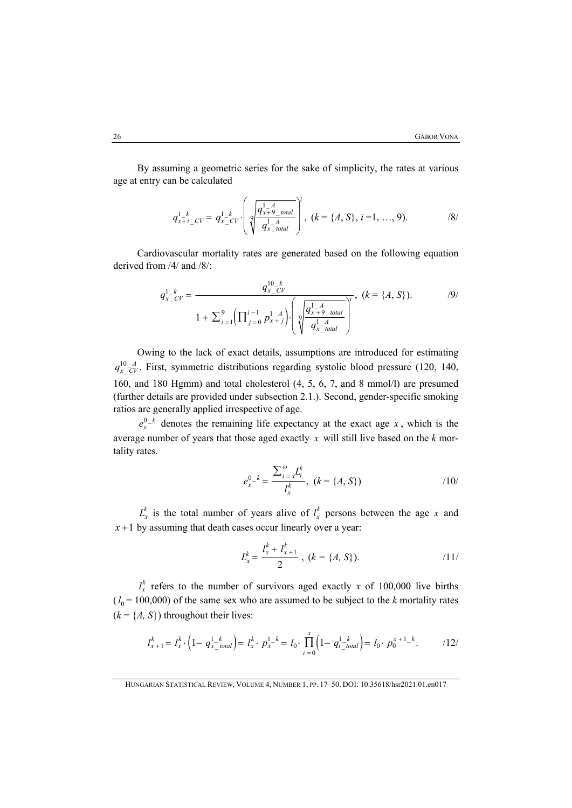By assuming a geometric series for the sake of simplicity, the rates at various age at entry can be calculated

$$
q_{x+i\_CV}^{1-k} = q_{x\_CV}^{1-k} \cdot \left( \sqrt[3]{\frac{q_{x+9\_total}^{1-A}}{q_{x\_total}^{1-A}} } \right)^i, \ (k = \{A, S\}, i = 1, ..., 9).
$$

Cardiovascular mortality rates are generated based on the following equation derived from /4/ and /8/:

$$
q_{x\_CV}^{1-k} = \frac{q_{x\_CV}^{10-k}}{1 + \sum_{i=1}^{9} \left( \prod_{j=0}^{i-1} p_{x+j}^{1-A} \right) \left( \sqrt[3]{\frac{q_{x+9\_total}^{1-A}}{q_{x\_total}^{1-A}}} \right)^i}, \ (k = \{A, S\}). \tag{9}
$$

Owing to the lack of exact details, assumptions are introduced for estimating  $q_x^{10}$   $\frac{A}{CV}$ . First, symmetric distributions regarding systolic blood pressure (120, 140, 160, and 180 Hgmm) and total cholesterol (4, 5, 6, 7, and 8 mmol/l) are presumed (further details are provided under subsection 2.1.). Second, gender-specific smoking ratios are generally applied irrespective of age.

 $e^{0-k}_{x}$  denotes the remaining life expectancy at the exact age *x*, which is the average number of years that those aged exactly *x* will still live based on the *k* mortality rates.

$$
e_x^{0-k} = \frac{\sum_{i=x}^{\omega} L_i^k}{l_x^k}, \ (k = \{A, S\}) \tag{10}
$$

 $L_x^k$  is the total number of years alive of  $l_x^k$  persons between the age *x* and  $x + 1$  by assuming that death cases occur linearly over a year:

$$
L_x^k = \frac{l_x^k + l_{x+1}^k}{2}, \ (k = \{A, S\}). \tag{11}
$$

 $l_x^k$  refers to the number of survivors aged exactly *x* of 100,000 live births  $(l_0 = 100,000)$  of the same sex who are assumed to be subject to the *k* mortality rates  $(k = \{A, S\})$  throughout their lives:

$$
I_{x+1}^k = I_x^k \cdot \left(1 - q_{x\_total}^{1-k}\right) = I_x^k \cdot p_x^{1-k} = I_0 \cdot \prod_{i=0}^x \left(1 - q_{i\_total}^{1-k}\right) = I_0 \cdot p_0^{x+1-k}.\tag{12}
$$

HUNGARIAN STATISTICAL REVIEW, VOLUME 4, NUMBER 1, PP. 17–50. DOI: 10.35618/hsr2021.01.en017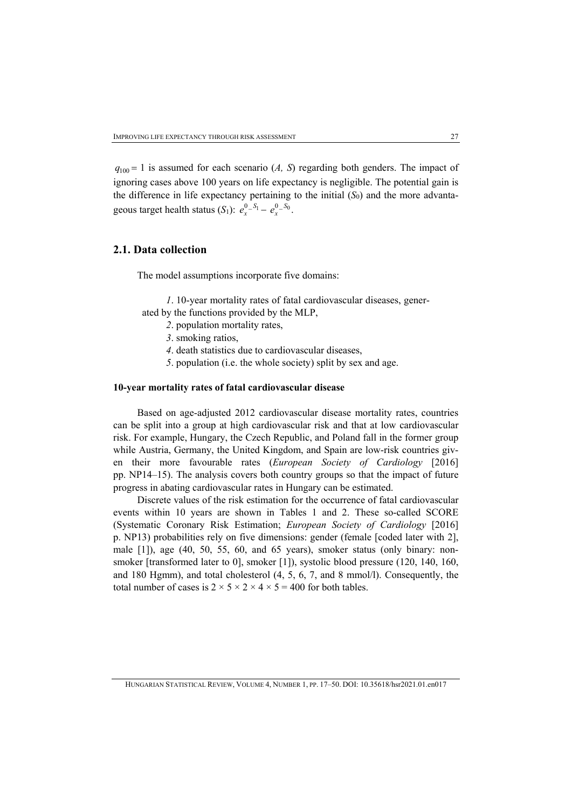$q_{100} = 1$  is assumed for each scenario (*A, S*) regarding both genders. The impact of ignoring cases above 100 years on life expectancy is negligible. The potential gain is the difference in life expectancy pertaining to the initial  $(S_0)$  and the more advantageous target health status  $(S_1)$ :  $e_x^{0-S_1} - e_x^{0-S_0}$ .

## **2.1. Data collection**

The model assumptions incorporate five domains:

*1*. 10-year mortality rates of fatal cardiovascular diseases, generated by the functions provided by the MLP,

- *2*. population mortality rates,
- *3*. smoking ratios,
- *4*. death statistics due to cardiovascular diseases,
- *5*. population (i.e. the whole society) split by sex and age.

#### **10-year mortality rates of fatal cardiovascular disease**

Based on age-adjusted 2012 cardiovascular disease mortality rates, countries can be split into a group at high cardiovascular risk and that at low cardiovascular risk. For example, Hungary, the Czech Republic, and Poland fall in the former group while Austria, Germany, the United Kingdom, and Spain are low-risk countries given their more favourable rates (*European Society of Cardiology* [2016] pp. NP14–15). The analysis covers both country groups so that the impact of future progress in abating cardiovascular rates in Hungary can be estimated.

Discrete values of the risk estimation for the occurrence of fatal cardiovascular events within 10 years are shown in Tables 1 and 2. These so-called SCORE (Systematic Coronary Risk Estimation; *European Society of Cardiology* [2016] p. NP13) probabilities rely on five dimensions: gender (female [coded later with 2], male [1]), age (40, 50, 55, 60, and 65 years), smoker status (only binary: nonsmoker [transformed later to 0], smoker [1]), systolic blood pressure (120, 140, 160, and 180 Hgmm), and total cholesterol (4, 5, 6, 7, and 8 mmol/l). Consequently, the total number of cases is  $2 \times 5 \times 2 \times 4 \times 5 = 400$  for both tables.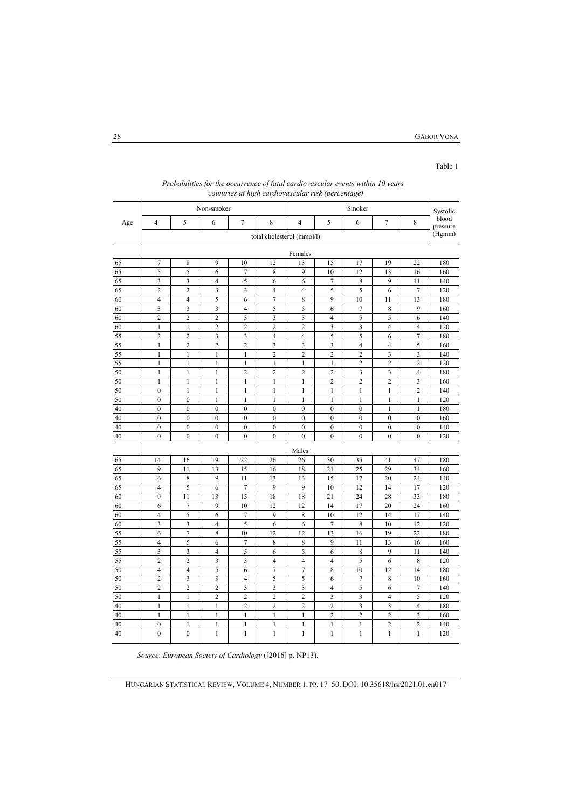Table 1

|     |                  |                         |                         |                         | countries at high cardiovascular risk (percentage) |                         |                         |                  |                         |                         |                   |
|-----|------------------|-------------------------|-------------------------|-------------------------|----------------------------------------------------|-------------------------|-------------------------|------------------|-------------------------|-------------------------|-------------------|
|     |                  |                         | Non-smoker              |                         |                                                    | Smoker                  |                         |                  |                         |                         | Systolic          |
| Age | $\overline{4}$   | 5                       | 6                       | $\overline{7}$          | 8                                                  | $\overline{\mathbf{4}}$ | 5                       | 6                | 7                       | 8                       | blood<br>pressure |
|     |                  |                         |                         |                         | total cholesterol (mmol/l)                         |                         |                         |                  |                         |                         | (Hgmm)            |
|     |                  |                         |                         |                         |                                                    | Females                 |                         |                  |                         |                         |                   |
| 65  | 7                | 8                       | 9                       | 10                      | 12                                                 | 13                      | 15                      | 17               | 19                      | 22                      | 180               |
| 65  | 5                | 5                       | 6                       | $\boldsymbol{7}$        | 8                                                  | 9                       | 10                      | 12               | 13                      | 16                      | 160               |
| 65  | 3                | 3                       | $\overline{\mathbf{4}}$ | 5                       | 6                                                  | 6                       | $\tau$                  | $\,$ 8 $\,$      | 9                       | 11                      | 140               |
| 65  | 2                | $\overline{\mathbf{c}}$ | 3                       | 3                       | $\overline{4}$                                     | $\overline{\mathbf{4}}$ | 5                       | 5                | 6                       | $\boldsymbol{7}$        | 120               |
| 60  | $\overline{4}$   | $\overline{4}$          | 5                       | 6                       | $\overline{7}$                                     | 8                       | 9                       | 10               | 11                      | 13                      | 180               |
| 60  | 3                | 3                       | 3                       | $\overline{4}$          | 5                                                  | 5                       | 6                       | $\boldsymbol{7}$ | 8                       | 9                       | 160               |
| 60  | $\overline{c}$   | $\overline{c}$          | $\overline{c}$          | 3                       | 3                                                  | 3                       | $\overline{4}$          | 5                | 5                       | 6                       | 140               |
| 60  | $\mathbf{1}$     | $\mathbf{1}$            | $\overline{c}$          | $\overline{2}$          | $\overline{c}$                                     | $\overline{c}$          | 3                       | 3                | $\overline{\mathbf{4}}$ | $\overline{\mathbf{4}}$ | 120               |
| 55  | $\overline{c}$   | $\overline{c}$          | $\overline{\mathbf{3}}$ | $\overline{\mathbf{3}}$ | $\overline{4}$                                     | $\overline{4}$          | 5                       | 5                | 6                       | $\overline{7}$          | 180               |
| 55  | $\mathbf{1}$     | $\overline{\mathbf{c}}$ | $\overline{c}$          | $\overline{c}$          | 3                                                  | 3                       | 3                       | $\overline{4}$   | $\overline{\mathbf{4}}$ | 5                       | 160               |
| 55  | $\mathbf{1}$     | $\mathbf{1}$            | $\,1$                   | $\mathbf{1}$            | $\overline{c}$                                     | $\overline{c}$          | $\overline{2}$          | $\overline{c}$   | 3                       | $\overline{\mathbf{3}}$ | 140               |
| 55  | $\mathbf{1}$     | $\mathbf{1}$            | $\mathbf{1}$            | $\mathbf{1}$            | $\mathbf{1}$                                       | $\mathbf{1}$            | $\mathbf{1}$            | $\overline{c}$   | $\overline{c}$          | $\overline{c}$          | 120               |
| 50  | $\mathbf{1}$     | $\mathbf{1}$            | $\mathbf{1}$            | $\overline{2}$          | $\overline{c}$                                     | $\overline{c}$          | $\overline{c}$          | 3                | 3                       | $\overline{4}$          | 180               |
| 50  | $\mathbf{1}$     | $\mathbf{1}$            | $\mathbf{1}$            | $\mathbf{1}$            | $\mathbf{1}$                                       | $\mathbf{1}$            | $\overline{2}$          | $\overline{2}$   | $\overline{c}$          | 3                       | 160               |
| 50  | $\boldsymbol{0}$ | $\mathbf{1}$            | $\mathbf{1}$            | $\mathbf{1}$            | $\mathbf{1}$                                       | $\mathbf{1}$            | $\mathbf{1}$            | $\mathbf{1}$     | $\mathbf{1}$            | $\overline{2}$          | 140               |
| 50  | $\boldsymbol{0}$ | $\boldsymbol{0}$        | $\mathbf{1}$            | $\mathbf{1}$            | $\mathbf{1}$                                       | $\mathbf{1}$            | $\mathbf{1}$            | $\mathbf{1}$     | $\mathbf{1}$            | $\,1$                   | 120               |
| 40  | $\boldsymbol{0}$ | $\boldsymbol{0}$        | $\boldsymbol{0}$        | $\boldsymbol{0}$        | $\boldsymbol{0}$                                   | $\boldsymbol{0}$        | $\boldsymbol{0}$        | $\boldsymbol{0}$ | $\mathbf{1}$            | $\,1$                   | 180               |
| 40  | $\boldsymbol{0}$ | $\boldsymbol{0}$        | $\boldsymbol{0}$        | $\boldsymbol{0}$        | $\boldsymbol{0}$                                   | $\mathbf{0}$            | $\mathbf{0}$            | $\boldsymbol{0}$ | $\boldsymbol{0}$        | $\boldsymbol{0}$        | 160               |
| 40  | $\boldsymbol{0}$ | $\boldsymbol{0}$        | $\boldsymbol{0}$        | $\boldsymbol{0}$        | $\boldsymbol{0}$                                   | $\bf{0}$                | $\boldsymbol{0}$        | $\boldsymbol{0}$ | $\boldsymbol{0}$        | $\boldsymbol{0}$        | 140               |
| 40  | $\boldsymbol{0}$ | $\boldsymbol{0}$        | $\boldsymbol{0}$        | $\boldsymbol{0}$        | $\boldsymbol{0}$                                   | $\overline{0}$          | $\boldsymbol{0}$        | $\boldsymbol{0}$ | $\boldsymbol{0}$        | $\boldsymbol{0}$        | 120               |
|     |                  |                         |                         |                         |                                                    | Males                   |                         |                  |                         |                         |                   |
| 65  | 14               | 16                      | 19                      | 22                      | 26                                                 | 26                      | 30                      | 35               | 41                      | 47                      | 180               |
| 65  | 9                | 11                      | 13                      | 15                      | 16                                                 | 18                      | 21                      | 25               | 29                      | 34                      | 160               |
| 65  | 6                | 8                       | 9                       | 11                      | 13                                                 | 13                      | 15                      | 17               | 20                      | 24                      | 140               |
| 65  | 4                | 5                       | 6                       | $\overline{7}$          | 9                                                  | 9                       | 10                      | 12               | 14                      | 17                      | 120               |
| 60  | 9                | 11                      | 13                      | 15                      | 18                                                 | 18                      | 21                      | 24               | 28                      | 33                      | 180               |
| 60  | 6                | $\overline{7}$          | 9                       | 10                      | 12                                                 | 12                      | 14                      | 17               | 20                      | 24                      | 160               |
| 60  | 4                | 5                       | 6                       | $\tau$                  | 9                                                  | 8                       | 10                      | 12               | 14                      | 17                      | 140               |
| 60  | 3                | 3                       | $\overline{4}$          | 5                       | 6                                                  | 6                       | $\overline{7}$          | 8                | 10                      | 12                      | 120               |
| 55  | 6                | $\overline{7}$          | 8                       | 10                      | 12                                                 | 12                      | 13                      | 16               | 19                      | 22                      | 180               |
| 55  | 4                | 5                       | 6                       | $\overline{7}$          | 8                                                  | 8                       | 9                       | 11               | 13                      | 16                      | 160               |
| 55  | 3                | 3                       | $\overline{4}$          | 5                       | 6                                                  | 5                       | 6                       | $\,$ 8 $\,$      | 9                       | 11                      | 140               |
| 55  | $\overline{2}$   | $\overline{2}$          | 3                       | 3                       | $\overline{4}$                                     | $\overline{4}$          | $\overline{4}$          | 5                | 6                       | 8                       | 120               |
| 50  | 4                | $\overline{4}$          | 5                       | 6                       | $\overline{7}$                                     | $\overline{7}$          | 8                       | 10               | 12                      | 14                      | 180               |
| 50  | $\overline{c}$   | 3                       | 3                       | $\overline{4}$          | 5                                                  | 5                       | 6                       | 7                | $\,$ 8 $\,$             | 10                      | 160               |
| 50  | $\overline{c}$   | $\overline{c}$          | $\overline{c}$          | 3                       | 3                                                  | 3                       | $\overline{4}$          | 5                | 6                       | $\overline{7}$          | 140               |
| 50  | $\mathbf{1}$     | $\mathbf{1}$            | $\overline{2}$          | $\overline{2}$          | $\overline{c}$                                     | $\overline{c}$          | 3                       | 3                | $\overline{4}$          | 5                       | 120               |
| 40  | $\mathbf{1}$     | $\mathbf{1}$            | $\mathbf{1}$            | $\overline{c}$          | $\overline{\mathbf{c}}$                            | $\overline{c}$          | $\overline{\mathbf{c}}$ | 3                | 3                       | $\overline{4}$          | 180               |
| 40  | $\mathbf{1}$     | $\mathbf{1}$            | $\mathbf{1}$            | $\mathbf{1}$            | $\mathbf{1}$                                       | $\mathbf{1}$            | $\overline{c}$          | $\overline{c}$   | $\overline{c}$          | 3                       | 160               |
| 40  | $\boldsymbol{0}$ | $\mathbf{1}$            | $\mathbf{1}$            | $\mathbf{1}$            | $\mathbf{1}$                                       | $\mathbf{1}$            | $\mathbf{1}$            | $\mathbf{1}$     | $\overline{c}$          | $\overline{c}$          | 140               |
| 40  | $\boldsymbol{0}$ | $\mathbf{0}$            | 1                       | $\mathbf{1}$            | 1                                                  | $\mathbf{1}$            | 1                       | 1                | $\mathbf{1}$            | $\mathbf{1}$            | 120               |

#### *Probabilities for the occurrence of fatal cardiovascular events within 10 years – countries at high cardiovascular risk (percentage)*

*Source*: *European Society of Cardiology* ([2016] p. NP13).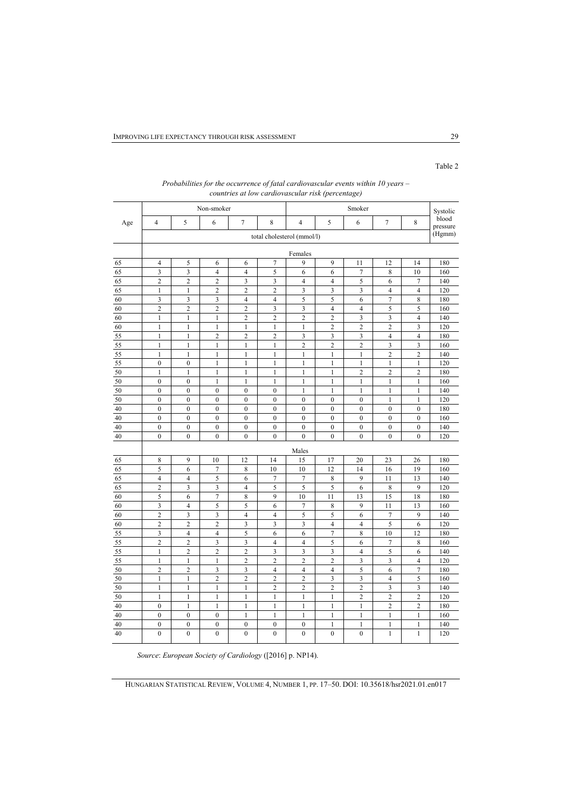#### Age Non-smoker Systolic Smoker Smoker Systolic blood pressure (Hgmm) 4 5 6 7 8 4 5 6 7 8 total cholesterol (mmol/l) **Females** 65 4 5 6 6 7 9 9 11 12 14 180 65 3 3 4 4 5 6 6 7 8 10 160 65 2 2 2 3 3 4 4 5 6 7 140 65 1 1 2 2 2 3 3 3 4 4 4 120 60 3 3 3 4 4 5 5 6 7 8 180 60 2 2 2 2 3 3 4 4 5 5 5 160 60 1 1 1 1 2 2 2 2 3 3 4 140 60 1 1 1 1 1 1 1 1 1 2 2 2 3 120 55 1 1 2 2 2 3 3 3 4 4 4 180 55 1 1 1 1 1 1 1 2 2 2 3 3 3 160 55 1 1 1 1 1 1 1 1 1 1 1 1 2 2 140 55 0 0 1 1 1 1 1 1 1 1 120 50 1 1 1 1 1 1 1 1 1 1 2 2 2 180 50 0 0 1 1 1 1 1 1 1 1 160 50 0 0 0 0 0 1 1 1 1 1 140 50 0 0 0 0 0 0 0 0 0 0 1 1 120 40 0 0 0 0 0 0 0 0 0 0 0 0 0 180 40 0 0 0 0 0 0 0 0 0 0 0 0 0 160 40 0 0 0 0 0 0 0 0 0 0 0 0 0 140 40 0 0 0 0 0 0 0 0 0 0 0 0 0 120 **Males** 65 8 9 10 12 14 15 17 20 23 26 180 65 | 5 | 6 | 7 | 8 | 10 | 10 | 12 | 14 | 16 | 19 | 160 65 4 4 5 6 7 7 8 9 11 13 140 65 2 3 3 4 5 5 5 6 8 9 120 60 | 5 | 6 | 7 | 8 | 9 | 10 | 11 | 13 | 15 | 18 | 180 60 3 4 5 5 6 7 8 9 11 13 160 60 2 3 3 4 4 5 5 6 7 9 140 60 2 2 2 3 3 3 4 4 5 6 120 55 3 4 4 5 6 6 7 8 10 12 180 55 2 2 3 3 4 4 5 6 7 8 160 55 1 2 2 2 3 3 3 4 5 6 140

| Probabilities for the occurrence of fatal cardiovascular events within 10 years $-$ |  |
|-------------------------------------------------------------------------------------|--|
| countries at low cardiovascular risk (percentage)                                   |  |

*Source*: *European Society of Cardiology* ([2016] p. NP14).

HUNGARIAN STATISTICAL REVIEW, VOLUME 4, NUMBER 1, PP. 17–50. DOI: 10.35618/hsr2021.01.en017

55 1 1 1 1 2 2 2 2 2 3 3 4 120 50 2 2 3 3 4 4 4 5 6 7 180 50 1 1 2 2 2 2 3 3 4 5 160 50 1 1 1 1 1 2 2 2 2 3 3 3 140 50 1 1 1 1 1 1 1 1 1 1 2 2 2 2 120 40 0 1 1 1 1 1 1 1 1 1 2 2 180 40 0 0 0 1 1 1 1 1 1 1 160 40 0 0 0 0 0 0 1 1 1 1 140 40 0 0 0 0 0 0 0 0 0 0 1 1 120

## Table 2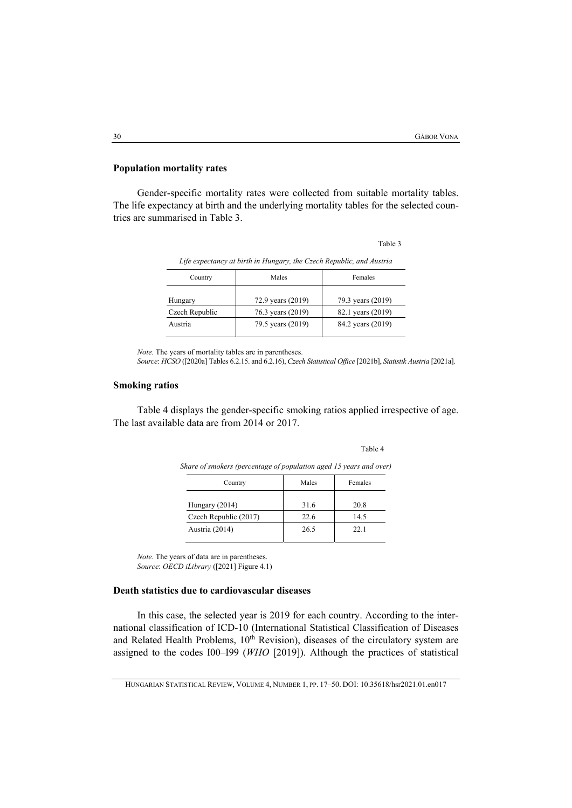### **Population mortality rates**

Gender-specific mortality rates were collected from suitable mortality tables. The life expectancy at birth and the underlying mortality tables for the selected countries are summarised in Table 3.

| Country        | Males             | Females           |
|----------------|-------------------|-------------------|
| Hungary        | 72.9 years (2019) | 79.3 years (2019) |
| Czech Republic | 76.3 years (2019) | 82.1 years (2019) |
| Austria        | 79.5 years (2019) | 84.2 years (2019) |

*Life expectancy at birth in Hungary, the Czech Republic, and Austria* 

*Note.* The years of mortality tables are in parentheses.

*Source*: *HCSO* ([2020a] Tables 6.2.15. and 6.2.16), *Czech Statistical Office* [2021b], *Statistik Austria* [2021a].

### **Smoking ratios**

Table 4 displays the gender-specific smoking ratios applied irrespective of age. The last available data are from 2014 or 2017.

| Males | Females |
|-------|---------|
| 31.6  | 20.8    |
| 22.6  | 14.5    |
| 26.5  | 22.1    |
|       |         |

*Note.* The years of data are in parentheses.

*Source*: *OECD iLibrary* ([2021] Figure 4.1)

#### **Death statistics due to cardiovascular diseases**

In this case, the selected year is 2019 for each country. According to the international classification of ICD-10 (International Statistical Classification of Diseases and Related Health Problems,  $10<sup>th</sup>$  Revision), diseases of the circulatory system are assigned to the codes I00–I99 (*WHO* [2019]). Although the practices of statistical

Table 4

Table 3

HUNGARIAN STATISTICAL REVIEW, VOLUME 4, NUMBER 1, PP. 17–50. DOI: 10.35618/hsr2021.01.en017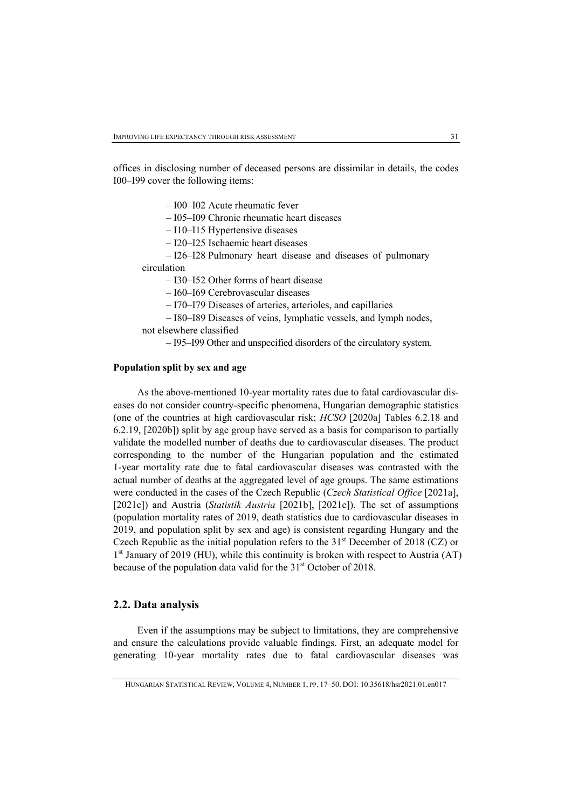offices in disclosing number of deceased persons are dissimilar in details, the codes I00–I99 cover the following items:

– I00–I02 Acute rheumatic fever

– I05–I09 Chronic rheumatic heart diseases

– I10–I15 Hypertensive diseases

– I20–I25 Ischaemic heart diseases

– I26–I28 Pulmonary heart disease and diseases of pulmonary circulation

– I30–I52 Other forms of heart disease

– I60–I69 Cerebrovascular diseases

– I70–I79 Diseases of arteries, arterioles, and capillaries

– I80–I89 Diseases of veins, lymphatic vessels, and lymph nodes,

not elsewhere classified

– I95–I99 Other and unspecified disorders of the circulatory system.

### **Population split by sex and age**

As the above-mentioned 10-year mortality rates due to fatal cardiovascular diseases do not consider country-specific phenomena, Hungarian demographic statistics (one of the countries at high cardiovascular risk; *HCSO* [2020a] Tables 6.2.18 and 6.2.19, [2020b]) split by age group have served as a basis for comparison to partially validate the modelled number of deaths due to cardiovascular diseases. The product corresponding to the number of the Hungarian population and the estimated 1-year mortality rate due to fatal cardiovascular diseases was contrasted with the actual number of deaths at the aggregated level of age groups. The same estimations were conducted in the cases of the Czech Republic (*Czech Statistical Office* [2021a], [2021c]) and Austria (*Statistik Austria* [2021b], [2021c]). The set of assumptions (population mortality rates of 2019, death statistics due to cardiovascular diseases in 2019, and population split by sex and age) is consistent regarding Hungary and the Czech Republic as the initial population refers to the  $31<sup>st</sup>$  December of 2018 (CZ) or  $1<sup>st</sup>$  January of 2019 (HU), while this continuity is broken with respect to Austria (AT) because of the population data valid for the 31<sup>st</sup> October of 2018.

### **2.2. Data analysis**

Even if the assumptions may be subject to limitations, they are comprehensive and ensure the calculations provide valuable findings. First, an adequate model for generating 10-year mortality rates due to fatal cardiovascular diseases was

HUNGARIAN STATISTICAL REVIEW, VOLUME 4, NUMBER 1, PP. 17–50. DOI: 10.35618/hsr2021.01.en017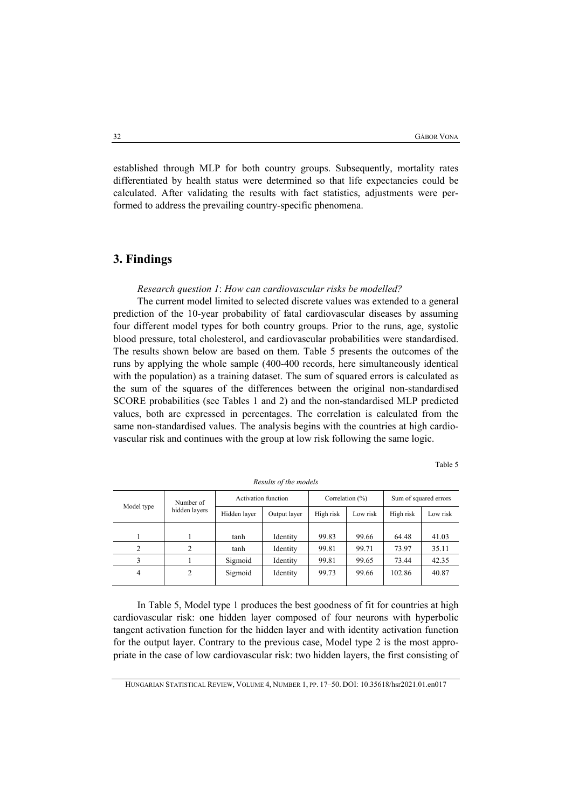established through MLP for both country groups. Subsequently, mortality rates differentiated by health status were determined so that life expectancies could be calculated. After validating the results with fact statistics, adjustments were performed to address the prevailing country-specific phenomena.

## **3. Findings**

### *Research question 1*: *How can cardiovascular risks be modelled?*

The current model limited to selected discrete values was extended to a general prediction of the 10-year probability of fatal cardiovascular diseases by assuming four different model types for both country groups. Prior to the runs, age, systolic blood pressure, total cholesterol, and cardiovascular probabilities were standardised. The results shown below are based on them. Table 5 presents the outcomes of the runs by applying the whole sample (400-400 records, here simultaneously identical with the population) as a training dataset. The sum of squared errors is calculated as the sum of the squares of the differences between the original non-standardised SCORE probabilities (see Tables 1 and 2) and the non-standardised MLP predicted values, both are expressed in percentages. The correlation is calculated from the same non-standardised values. The analysis begins with the countries at high cardiovascular risk and continues with the group at low risk following the same logic.

Table 5

|                | Number of      | Activation function |              | Correlation $(\% )$ |          | Sum of squared errors |          |
|----------------|----------------|---------------------|--------------|---------------------|----------|-----------------------|----------|
| Model type     | hidden layers  | Hidden layer        | Output layer | High risk           | Low risk | High risk             | Low risk |
|                |                |                     |              |                     |          |                       |          |
|                |                | tanh                | Identity     | 99.83               | 99.66    | 64.48                 | 41.03    |
|                | 2              | tanh                | Identity     | 99.81               | 99.71    | 73.97                 | 35.11    |
|                |                | Sigmoid             | Identity     | 99.81               | 99.65    | 73.44                 | 42.35    |
| $\overline{4}$ | $\overline{c}$ | Sigmoid             | Identity     | 99.73               | 99.66    | 102.86                | 40.87    |

*Results of the models* 

In Table 5, Model type 1 produces the best goodness of fit for countries at high cardiovascular risk: one hidden layer composed of four neurons with hyperbolic tangent activation function for the hidden layer and with identity activation function for the output layer. Contrary to the previous case, Model type 2 is the most appropriate in the case of low cardiovascular risk: two hidden layers, the first consisting of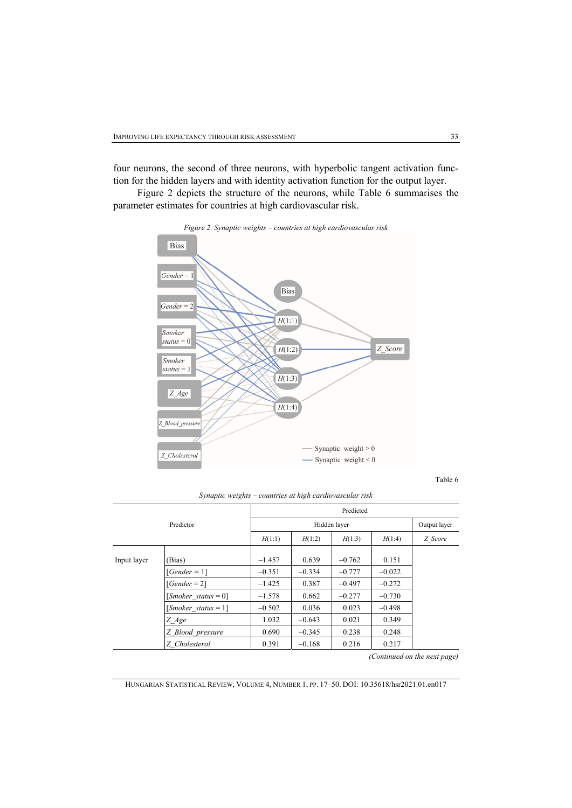four neurons, the second of three neurons, with hyperbolic tangent activation function for the hidden layers and with identity activation function for the output layer.

Figure 2 depicts the structure of the neurons, while Table 6 summarises the parameter estimates for countries at high cardiovascular risk.



*Figure 2. Synaptic weights – countries at high cardiovascular risk* 

| n | ı٣ |  |
|---|----|--|
|   |    |  |

*Synaptic weights – countries at high cardiovascular risk* 

|             |                             | Predicted |              |          |          |         |  |  |
|-------------|-----------------------------|-----------|--------------|----------|----------|---------|--|--|
|             | Predictor                   |           | Hidden layer |          |          |         |  |  |
|             |                             | H(1:1)    | H(1:2)       | H(1:3)   | H(1:4)   | Z Score |  |  |
| Input layer | (Bias)                      | $-1.457$  | 0.639        | $-0.762$ | 0.151    |         |  |  |
|             | $[Gender = 1]$              | $-0.351$  | $-0.334$     | $-0.777$ | $-0.022$ |         |  |  |
|             | $[Gender = 2]$              | $-1.425$  | 0.387        | $-0.497$ | $-0.272$ |         |  |  |
|             | [ <i>Smoker status</i> = 0] | $-1.578$  | 0.662        | $-0.277$ | $-0.730$ |         |  |  |
|             | [ <i>Smoker status</i> = 1] | $-0.502$  | 0.036        | 0.023    | $-0.498$ |         |  |  |
|             | Z Age                       | 1.032     | $-0.643$     | 0.021    | 0.349    |         |  |  |
|             | Z Blood pressure            | 0.690     | $-0.345$     | 0.238    | 0.248    |         |  |  |
|             | Z Cholesterol               | 0.391     | $-0.168$     | 0.216    | 0.217    |         |  |  |

*(Continued on the next page)*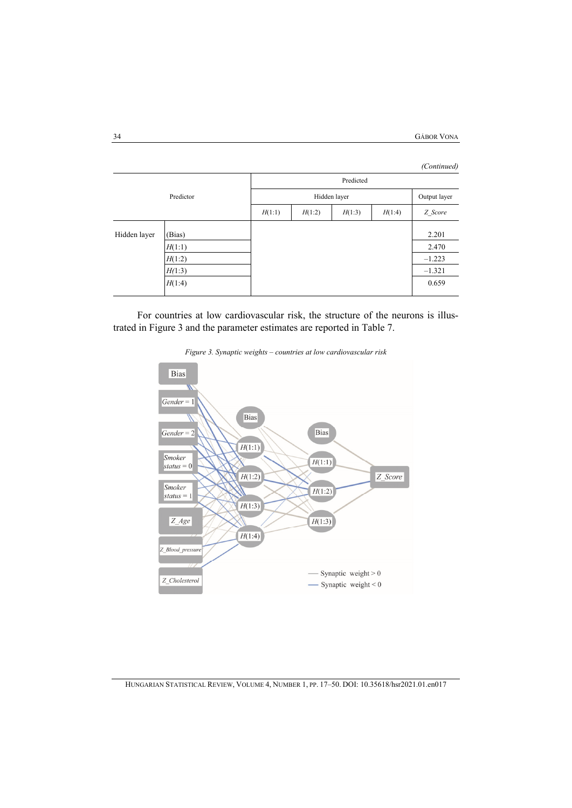|              |        |           |              |        |        | (Continued) |  |
|--------------|--------|-----------|--------------|--------|--------|-------------|--|
| Predictor    |        | Predicted |              |        |        |             |  |
|              |        |           | Output layer |        |        |             |  |
|              |        | H(1:1)    | H(1:2)       | H(1:3) | H(1:4) | Z Score     |  |
| Hidden layer | (Bias) |           |              |        |        | 2.201       |  |
|              | H(1:1) |           |              |        |        | 2.470       |  |
|              | H(1:2) |           |              |        |        | $-1.223$    |  |
|              | H(1:3) |           |              |        |        | $-1.321$    |  |
|              | H(1:4) |           |              |        |        | 0.659       |  |

For countries at low cardiovascular risk, the structure of the neurons is illustrated in Figure 3 and the parameter estimates are reported in Table 7.



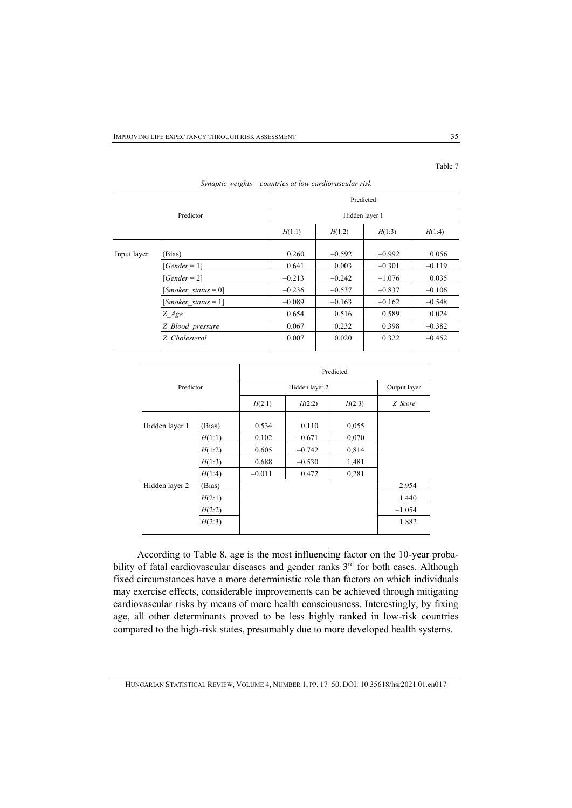|             |                             | Predicted |                |          |          |  |  |  |  |
|-------------|-----------------------------|-----------|----------------|----------|----------|--|--|--|--|
|             | Predictor                   |           | Hidden layer 1 |          |          |  |  |  |  |
|             |                             | H(1:1)    | H(1:2)         | H(1:3)   | H(1:4)   |  |  |  |  |
| Input layer | (Bias)                      | 0.260     | $-0.592$       | $-0.992$ | 0.056    |  |  |  |  |
|             | $[Gender = 1]$              | 0.641     | 0.003          | $-0.301$ | $-0.119$ |  |  |  |  |
|             | [ $Gender = 2$ ]            | $-0.213$  | $-0.242$       | $-1.076$ | 0.035    |  |  |  |  |
|             | [ <i>Smoker status</i> = 0] | $-0.236$  | $-0.537$       | $-0.837$ | $-0.106$ |  |  |  |  |
|             | [ <i>Smoker status</i> = 1] | $-0.089$  | $-0.163$       | $-0.162$ | $-0.548$ |  |  |  |  |
|             | Z Age                       | 0.654     | 0.516          | 0.589    | 0.024    |  |  |  |  |
|             | Z Blood pressure            | 0.067     | 0.232          | 0.398    | $-0.382$ |  |  |  |  |
|             | Z Cholesterol               | 0.007     | 0.020          | 0.322    | $-0.452$ |  |  |  |  |
|             |                             |           |                |          |          |  |  |  |  |

*Synaptic weights – countries at low cardiovascular risk* 

|                |        | Predicted |                |        |          |  |  |
|----------------|--------|-----------|----------------|--------|----------|--|--|
| Predictor      |        |           | Hidden layer 2 |        |          |  |  |
|                |        | H(2:1)    | H(2:2)         | H(2:3) | Z Score  |  |  |
| Hidden layer 1 | (Bias) | 0.534     | 0.110          | 0,055  |          |  |  |
|                | H(1:1) | 0.102     | $-0.671$       | 0,070  |          |  |  |
|                | H(1:2) | 0.605     | $-0.742$       | 0,814  |          |  |  |
|                | H(1:3) | 0.688     | $-0.530$       | 1,481  |          |  |  |
|                | H(1:4) | $-0.011$  | 0.472          | 0,281  |          |  |  |
| Hidden layer 2 | (Bias) |           |                |        | 2.954    |  |  |
|                | H(2:1) |           |                |        | 1.440    |  |  |
|                | H(2:2) |           |                |        | $-1.054$ |  |  |
|                | H(2:3) |           |                |        | 1.882    |  |  |

According to Table 8, age is the most influencing factor on the 10-year probability of fatal cardiovascular diseases and gender ranks 3<sup>rd</sup> for both cases. Although fixed circumstances have a more deterministic role than factors on which individuals may exercise effects, considerable improvements can be achieved through mitigating cardiovascular risks by means of more health consciousness. Interestingly, by fixing age, all other determinants proved to be less highly ranked in low-risk countries compared to the high-risk states, presumably due to more developed health systems.

HUNGARIAN STATISTICAL REVIEW, VOLUME 4, NUMBER 1, PP. 17–50. DOI: 10.35618/hsr2021.01.en017

Table 7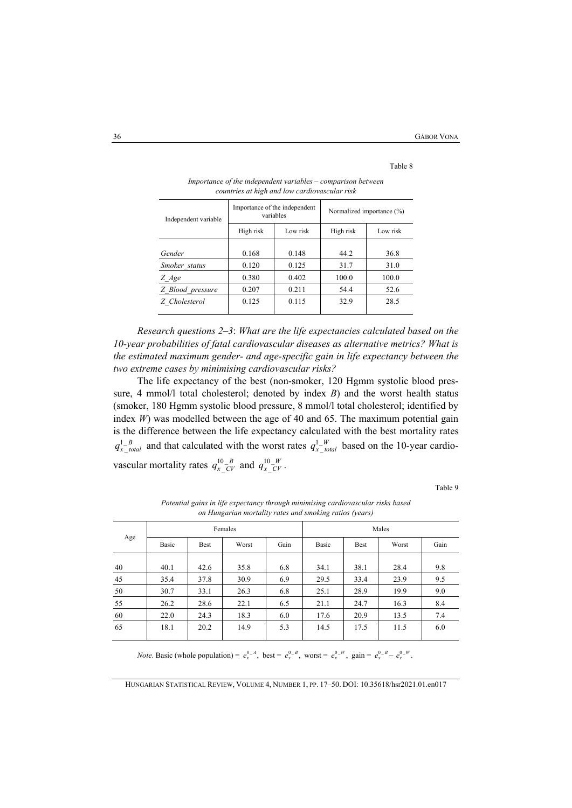| аріє |
|------|
|------|

| Independent variable |           | Importance of the independent<br>variables | Normalized importance (%) |          |  |
|----------------------|-----------|--------------------------------------------|---------------------------|----------|--|
|                      | High risk | Low risk                                   | High risk                 | Low risk |  |
|                      |           |                                            |                           |          |  |
| Gender               | 0.168     | 0.148                                      | 44.2                      | 36.8     |  |
| Smoker status        | 0.120     | 0.125                                      | 31.7                      | 31.0     |  |
| Z Age                | 0.380     | 0.402                                      | 100.0                     | 100.0    |  |
| Z Blood pressure     | 0.207     | 0.211                                      | 54.4                      | 52.6     |  |
| Z Cholesterol        | 0.125     | 0.115                                      | 32.9                      | 28.5     |  |
|                      |           |                                            |                           |          |  |

*Importance of the independent variables – comparison between countries at high and low cardiovascular risk* 

*Research questions 2–3*: *What are the life expectancies calculated based on the 10-year probabilities of fatal cardiovascular diseases as alternative metrics? What is the estimated maximum gender- and age-specific gain in life expectancy between the two extreme cases by minimising cardiovascular risks?* 

The life expectancy of the best (non-smoker, 120 Hgmm systolic blood pressure, 4 mmol/l total cholesterol; denoted by index *B*) and the worst health status (smoker, 180 Hgmm systolic blood pressure, 8 mmol/l total cholesterol; identified by index *W*) was modelled between the age of 40 and 65. The maximum potential gain is the difference between the life expectancy calculated with the best mortality rates  $q_x^1$ <sup> $B$ </sup><sub>*total*</sub> and that calculated with the worst rates  $q_x^1$ <sup> $W$ </sup><sub>*total*</sub> based on the 10-year cardiovascular mortality rates  $q_x^{10} - \frac{B}{CV}$  and  $q_x^{10} - \frac{W}{CV}$ .

Table 9

| Age |       |             | Females |      | Males |             |       |      |
|-----|-------|-------------|---------|------|-------|-------------|-------|------|
|     | Basic | <b>Best</b> | Worst   | Gain | Basic | <b>Best</b> | Worst | Gain |
| 40  | 40.1  | 42.6        | 35.8    | 6.8  | 34.1  | 38.1        | 28.4  | 9.8  |
| 45  | 35.4  | 37.8        | 30.9    | 6.9  | 29.5  | 33.4        | 23.9  | 9.5  |
| 50  | 30.7  | 33.1        | 26.3    | 6.8  | 25.1  | 28.9        | 19.9  | 9.0  |
| 55  | 26.2  | 28.6        | 22.1    | 6.5  | 21.1  | 24.7        | 16.3  | 8.4  |
| 60  | 22.0  | 24.3        | 18.3    | 6.0  | 17.6  | 20.9        | 13.5  | 7.4  |
| 65  | 18.1  | 20.2        | 14.9    | 5.3  | 14.5  | 17.5        | 11.5  | 6.0  |

*Potential gains in life expectancy through minimising cardiovascular risks based on Hungarian mortality rates and smoking ratios (years)* 

*Note*. Basic (whole population) =  $e_x^{0-A}$ , best =  $e_x^{0-B}$ , worst =  $e_x^{0-W}$ , gain =  $e_x^{0-B} - e_x^{0-W}$ .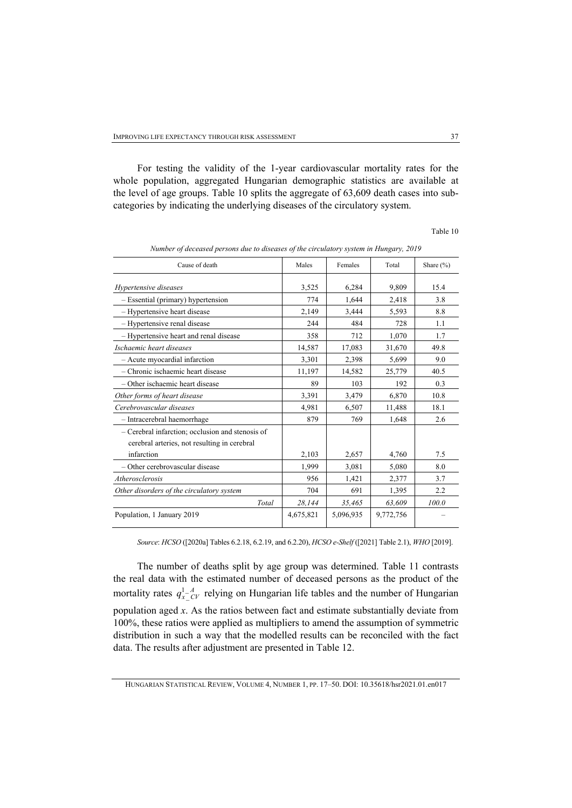For testing the validity of the 1-year cardiovascular mortality rates for the whole population, aggregated Hungarian demographic statistics are available at the level of age groups. Table 10 splits the aggregate of 63,609 death cases into subcategories by indicating the underlying diseases of the circulatory system.

Table 10

| Cause of death                                                                                   | Males     | Females   | Total     | Share (%) |
|--------------------------------------------------------------------------------------------------|-----------|-----------|-----------|-----------|
| Hypertensive diseases                                                                            | 3,525     | 6,284     | 9,809     | 15.4      |
| - Essential (primary) hypertension                                                               | 774       | 1,644     | 2,418     | 3.8       |
| - Hypertensive heart disease                                                                     | 2,149     | 3,444     | 5,593     | 8.8       |
| - Hypertensive renal disease                                                                     | 244       | 484       | 728       | 1.1       |
| - Hypertensive heart and renal disease                                                           | 358       | 712       | 1,070     | 1.7       |
| Ischaemic heart diseases                                                                         | 14,587    | 17,083    | 31,670    | 49.8      |
| - Acute myocardial infarction                                                                    | 3,301     | 2,398     | 5,699     | 9.0       |
| - Chronic ischaemic heart disease                                                                | 11,197    | 14,582    | 25,779    | 40.5      |
| - Other ischaemic heart disease                                                                  | 89        | 103       | 192       | 0.3       |
| Other forms of heart disease                                                                     | 3,391     | 3,479     | 6,870     | 10.8      |
| Cerebrovascular diseases                                                                         | 4,981     | 6,507     | 11,488    | 18.1      |
| - Intracerebral haemorrhage                                                                      | 879       | 769       | 1,648     | 2.6       |
| - Cerebral infarction; occlusion and stenosis of<br>cerebral arteries, not resulting in cerebral |           |           |           |           |
| infarction                                                                                       | 2,103     | 2,657     | 4,760     | 7.5       |
| - Other cerebrovascular disease                                                                  | 1,999     | 3,081     | 5,080     | 8.0       |
| Atherosclerosis                                                                                  | 956       | 1,421     | 2,377     | 3.7       |
| Other disorders of the circulatory system                                                        | 704       | 691       | 1,395     | 2.2       |
| Total                                                                                            | 28,144    | 35,465    | 63,609    | 100.0     |
| Population, 1 January 2019                                                                       | 4,675,821 | 5,096,935 | 9,772,756 |           |

*Number of deceased persons due to diseases of the circulatory system in Hungary, 2019* 

*Source*: *HCSO* ([2020a] Tables 6.2.18, 6.2.19, and 6.2.20), *HCSO e-Shelf* ([2021] Table 2.1), *WHO* [2019].

The number of deaths split by age group was determined. Table 11 contrasts the real data with the estimated number of deceased persons as the product of the mortality rates  $q_x^{\perp}$ <sup> $A$ </sup> $C_V$  relying on Hungarian life tables and the number of Hungarian population aged *x*. As the ratios between fact and estimate substantially deviate from 100%, these ratios were applied as multipliers to amend the assumption of symmetric distribution in such a way that the modelled results can be reconciled with the fact data. The results after adjustment are presented in Table 12.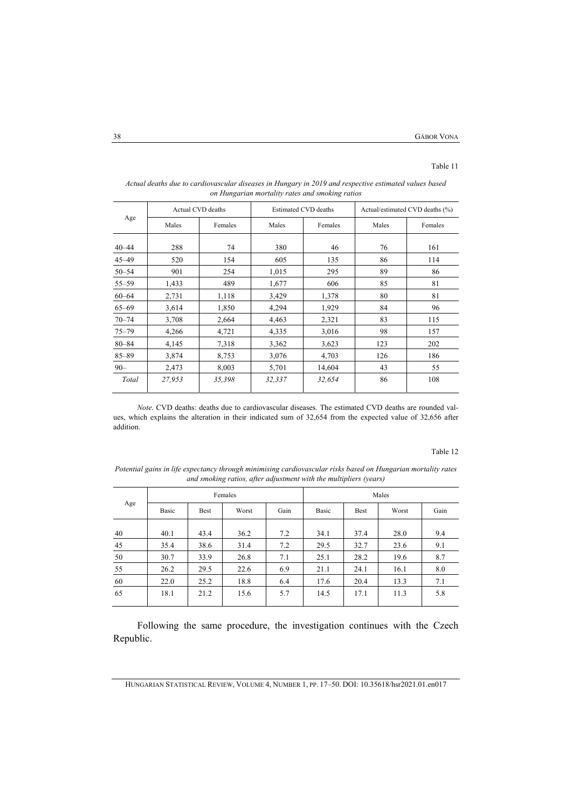#### Table 11

|           |        | Actual CVD deaths |        | <b>Estimated CVD deaths</b> |       | Actual/estimated CVD deaths (%) |  |  |
|-----------|--------|-------------------|--------|-----------------------------|-------|---------------------------------|--|--|
| Age       | Males  | Females           | Males  | Females                     | Males | Females                         |  |  |
| $40 - 44$ | 288    | 74                | 380    | 46                          | 76    | 161                             |  |  |
| $45 - 49$ | 520    | 154               | 605    | 135                         | 86    | 114                             |  |  |
| $50 - 54$ | 901    | 254               | 1,015  | 295                         | 89    | 86                              |  |  |
| $55 - 59$ | 1,433  | 489               | 1,677  | 606                         | 85    | 81                              |  |  |
| $60 - 64$ | 2,731  | 1,118             | 3,429  | 1,378                       | 80    | 81                              |  |  |
| $65 - 69$ | 3,614  | 1,850             | 4,294  | 1,929                       | 84    | 96                              |  |  |
| $70 - 74$ | 3,708  | 2,664             | 4,463  | 2,321                       | 83    | 115                             |  |  |
| $75 - 79$ | 4,266  | 4,721             | 4,335  | 3,016                       | 98    | 157                             |  |  |
| $80 - 84$ | 4,145  | 7,318             | 3,362  | 3,623                       | 123   | 202                             |  |  |
| $85 - 89$ | 3,874  | 8,753             | 3,076  | 4,703                       | 126   | 186                             |  |  |
| $90 -$    | 2,473  | 8,003             | 5,701  | 14,604                      | 43    | 55                              |  |  |
| Total     | 27,953 | 35,398            | 32,337 | 32,654                      | 86    | 108                             |  |  |
|           |        |                   |        |                             |       |                                 |  |  |

*Actual deaths due to cardiovascular diseases in Hungary in 2019 and respective estimated values based on Hungarian mortality rates and smoking ratios* 

*Note*. CVD deaths: deaths due to cardiovascular diseases. The estimated CVD deaths are rounded values, which explains the alteration in their indicated sum of 32,654 from the expected value of 32,656 after addition.

#### Table 12

*Potential gains in life expectancy through minimising cardiovascular risks based on Hungarian mortality rates and smoking ratios, after adjustment with the multipliers (years)* 

| Age |       |             | Females |      | Males |             |       |      |
|-----|-------|-------------|---------|------|-------|-------------|-------|------|
|     | Basic | <b>Best</b> | Worst   | Gain | Basic | <b>Best</b> | Worst | Gain |
| 40  | 40.1  | 43.4        | 36.2    | 7.2  | 34.1  | 37.4        | 28.0  | 9.4  |
| 45  | 35.4  | 38.6        | 31.4    | 7.2  | 29.5  | 32.7        | 23.6  | 9.1  |
| 50  | 30.7  | 33.9        | 26.8    | 7.1  | 25.1  | 28.2        | 19.6  | 8.7  |
| 55  | 26.2  | 29.5        | 22.6    | 6.9  | 21.1  | 24.1        | 16.1  | 8.0  |
| 60  | 22.0  | 25.2        | 18.8    | 6.4  | 17.6  | 20.4        | 13.3  | 7.1  |
| 65  | 18.1  | 21.2        | 15.6    | 5.7  | 14.5  | 17.1        | 11.3  | 5.8  |

Following the same procedure, the investigation continues with the Czech Republic.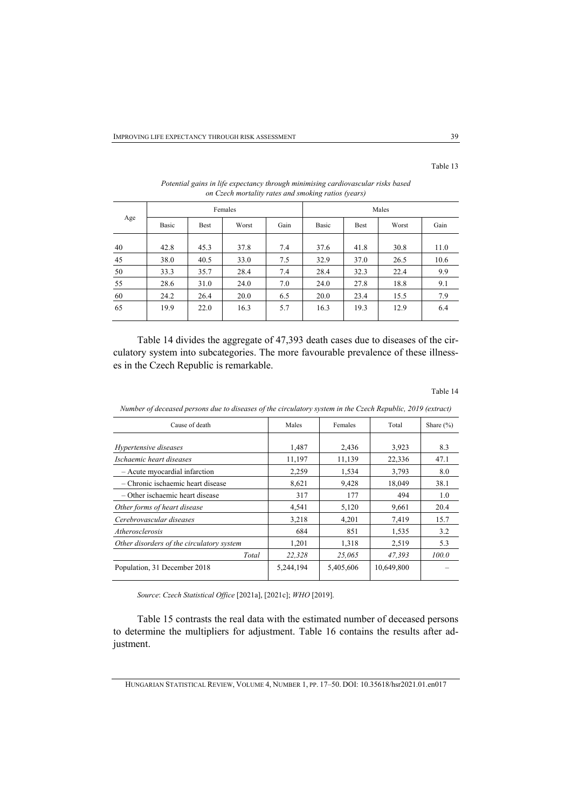| Age |       |      | Females |      | Males |             |       |      |
|-----|-------|------|---------|------|-------|-------------|-------|------|
|     | Basic | Best | Worst   | Gain | Basic | <b>Best</b> | Worst | Gain |
| 40  | 42.8  | 45.3 | 37.8    | 7.4  | 37.6  | 41.8        | 30.8  | 11.0 |
| 45  | 38.0  | 40.5 | 33.0    | 7.5  | 32.9  | 37.0        | 26.5  | 10.6 |
| 50  | 33.3  | 35.7 | 28.4    | 7.4  | 28.4  | 32.3        | 22.4  | 9.9  |
| 55  | 28.6  | 31.0 | 24.0    | 7.0  | 24.0  | 27.8        | 18.8  | 9.1  |
| 60  | 24.2  | 26.4 | 20.0    | 6.5  | 20.0  | 23.4        | 15.5  | 7.9  |
| 65  | 19.9  | 22.0 | 16.3    | 5.7  | 16.3  | 19.3        | 12.9  | 6.4  |

*Potential gains in life expectancy through minimising cardiovascular risks based on Czech mortality rates and smoking ratios (years)* 

Table 14 divides the aggregate of 47,393 death cases due to diseases of the circulatory system into subcategories. The more favourable prevalence of these illnesses in the Czech Republic is remarkable.

Table 14

| Cause of death                            | Males     | Females   | Total      | Share $(\% )$ |
|-------------------------------------------|-----------|-----------|------------|---------------|
| Hypertensive diseases                     | 1,487     | 2,436     | 3,923      | 8.3           |
| Ischaemic heart diseases                  | 11,197    | 11,139    | 22,336     | 47.1          |
| - Acute myocardial infarction             | 2,259     | 1,534     | 3,793      | 8.0           |
| - Chronic ischaemic heart disease         | 8,621     | 9,428     | 18,049     | 38.1          |
| – Other ischaemic heart disease           | 317       | 177       | 494        | 1.0           |
| Other forms of heart disease              | 4,541     | 5,120     | 9,661      | 20.4          |
| Cerebrovascular diseases                  | 3,218     | 4,201     | 7,419      | 15.7          |
| Atherosclerosis                           | 684       | 851       | 1,535      | 3.2           |
| Other disorders of the circulatory system | 1,201     | 1,318     | 2,519      | 5.3           |
| Total                                     | 22,328    | 25,065    | 47,393     | 100.0         |
| Population, 31 December 2018              | 5,244,194 | 5,405,606 | 10,649,800 |               |

*Number of deceased persons due to diseases of the circulatory system in the Czech Republic, 2019 (extract)* 

*Source*: *Czech Statistical Office* [2021a], [2021c]; *WHO* [2019].

Table 15 contrasts the real data with the estimated number of deceased persons to determine the multipliers for adjustment. Table 16 contains the results after adjustment.

Table 13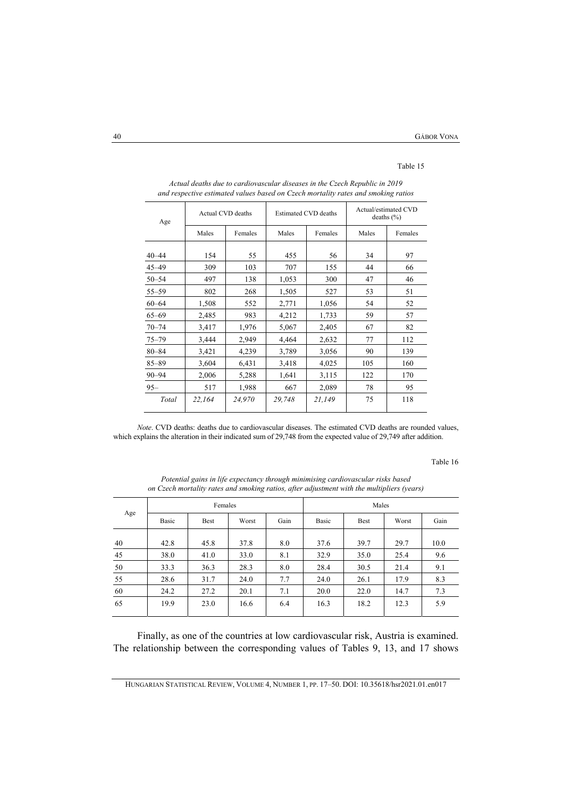#### Table 15

| Age       |        | Actual CVD deaths |        | <b>Estimated CVD deaths</b> | Actual/estimated CVD<br>deaths $(\% )$ |         |  |
|-----------|--------|-------------------|--------|-----------------------------|----------------------------------------|---------|--|
|           | Males  | Females           | Males  | Females                     | Males                                  | Females |  |
| $40 - 44$ | 154    | 55                | 455    | 56                          | 34                                     | 97      |  |
| $45 - 49$ | 309    | 103               | 707    | 155                         | 44                                     | 66      |  |
| $50 - 54$ | 497    | 138               | 1,053  | 300                         | 47                                     | 46      |  |
| $55 - 59$ | 802    | 268               | 1,505  | 527                         | 53                                     | 51      |  |
| $60 - 64$ | 1,508  | 552               | 2,771  | 1,056                       | 54                                     | 52      |  |
| $65 - 69$ | 2,485  | 983               | 4,212  | 1,733                       | 59                                     | 57      |  |
| $70 - 74$ | 3,417  | 1,976             | 5,067  | 2,405                       | 67                                     | 82      |  |
| $75 - 79$ | 3,444  | 2,949             | 4,464  | 2,632                       | 77                                     | 112     |  |
| $80 - 84$ | 3,421  | 4,239             | 3,789  | 3,056                       | 90                                     | 139     |  |
| $85 - 89$ | 3,604  | 6,431             | 3,418  | 4,025                       | 105                                    | 160     |  |
| $90 - 94$ | 2,006  | 5,288             | 1,641  | 3.115                       | 122                                    | 170     |  |
| $95 -$    | 517    | 1,988             | 667    | 2,089                       | 78                                     | 95      |  |
| Total     | 22,164 | 24,970            | 29,748 | 21,149                      | 75                                     | 118     |  |

| Actual deaths due to cardiovascular diseases in the Czech Republic in 2019        |
|-----------------------------------------------------------------------------------|
| and respective estimated values based on Czech mortality rates and smoking ratios |

*Note*. CVD deaths: deaths due to cardiovascular diseases. The estimated CVD deaths are rounded values, which explains the alteration in their indicated sum of 29,748 from the expected value of 29,749 after addition.

#### Table 16

| Age | Females |      |       |      | Males |      |       |      |
|-----|---------|------|-------|------|-------|------|-------|------|
|     | Basic   | Best | Worst | Gain | Basic | Best | Worst | Gain |
| 40  | 42.8    | 45.8 | 37.8  | 8.0  | 37.6  | 39.7 | 29.7  | 10.0 |
| 45  | 38.0    | 41.0 | 33.0  | 8.1  | 32.9  | 35.0 | 25.4  | 9.6  |
| 50  | 33.3    | 36.3 | 28.3  | 8.0  | 28.4  | 30.5 | 21.4  | 9.1  |
| 55  | 28.6    | 31.7 | 24.0  | 7.7  | 24.0  | 26.1 | 17.9  | 8.3  |
| 60  | 24.2    | 27.2 | 20.1  | 7.1  | 20.0  | 22.0 | 14.7  | 7.3  |
| 65  | 19.9    | 23.0 | 16.6  | 6.4  | 16.3  | 18.2 | 12.3  | 5.9  |

*Potential gains in life expectancy through minimising cardiovascular risks based on Czech mortality rates and smoking ratios, after adjustment with the multipliers (years)* 

Finally, as one of the countries at low cardiovascular risk, Austria is examined. The relationship between the corresponding values of Tables 9, 13, and 17 shows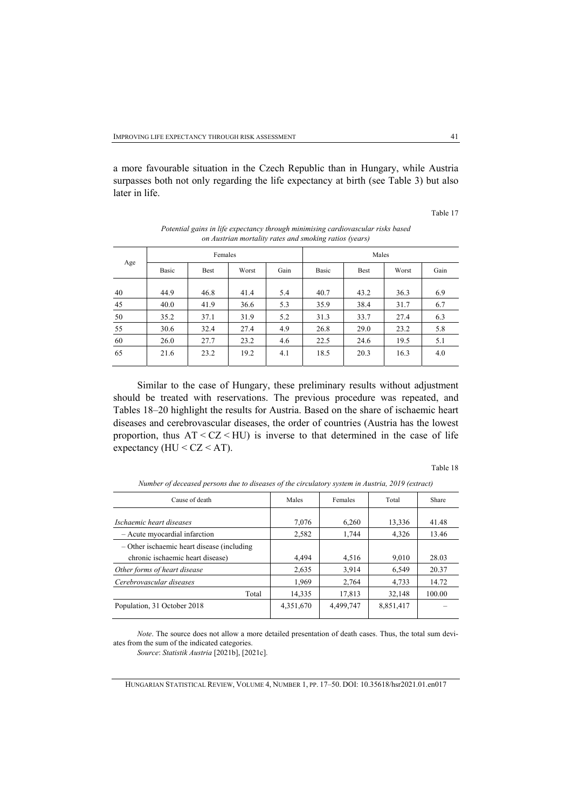a more favourable situation in the Czech Republic than in Hungary, while Austria surpasses both not only regarding the life expectancy at birth (see Table 3) but also later in life.

Table 17

| Age | Females |             |       |      | Males |             |       |      |
|-----|---------|-------------|-------|------|-------|-------------|-------|------|
|     | Basic   | <b>Best</b> | Worst | Gain | Basic | <b>Best</b> | Worst | Gain |
| 40  | 44.9    | 46.8        | 41.4  | 5.4  | 40.7  | 43.2        | 36.3  | 6.9  |
| 45  | 40.0    | 41.9        | 36.6  | 5.3  | 35.9  | 38.4        | 31.7  | 6.7  |
| 50  | 35.2    | 37.1        | 31.9  | 5.2  | 31.3  | 33.7        | 27.4  | 6.3  |
| 55  | 30.6    | 32.4        | 27.4  | 4.9  | 26.8  | 29.0        | 23.2  | 5.8  |
| 60  | 26.0    | 27.7        | 23.2  | 4.6  | 22.5  | 24.6        | 19.5  | 5.1  |
| 65  | 21.6    | 23.2        | 19.2  | 4.1  | 18.5  | 20.3        | 16.3  | 4.0  |

*Potential gains in life expectancy through minimising cardiovascular risks based on Austrian mortality rates and smoking ratios (years)* 

Similar to the case of Hungary, these preliminary results without adjustment should be treated with reservations. The previous procedure was repeated, and Tables 18–20 highlight the results for Austria. Based on the share of ischaemic heart diseases and cerebrovascular diseases, the order of countries (Austria has the lowest proportion, thus  $AT < CZ < HU$ ) is inverse to that determined in the case of life expectancy (HU  $\leq$  CZ  $\leq$  AT).

#### Table 18

| Cause of death                               | Males     | Females   | Total     | Share  |
|----------------------------------------------|-----------|-----------|-----------|--------|
| Ischaemic heart diseases                     | 7,076     | 6.260     | 13,336    | 41.48  |
| - Acute myocardial infarction                | 2,582     | 1,744     | 4,326     | 13.46  |
| $-$ Other ischaemic heart disease (including |           |           |           |        |
| chronic ischaemic heart disease)             | 4.494     | 4,516     | 9,010     | 28.03  |
| Other forms of heart disease                 | 2,635     | 3.914     | 6,549     | 20.37  |
| Cerebrovascular diseases                     | 1.969     | 2,764     | 4,733     | 14.72  |
| Total                                        | 14,335    | 17,813    | 32,148    | 100.00 |
| Population, 31 October 2018                  | 4,351,670 | 4,499,747 | 8,851,417 |        |

*Number of deceased persons due to diseases of the circulatory system in Austria, 2019 (extract)* 

*Note*. The source does not allow a more detailed presentation of death cases. Thus, the total sum deviates from the sum of the indicated categories.

*Source*: *Statistik Austria* [2021b], [2021c].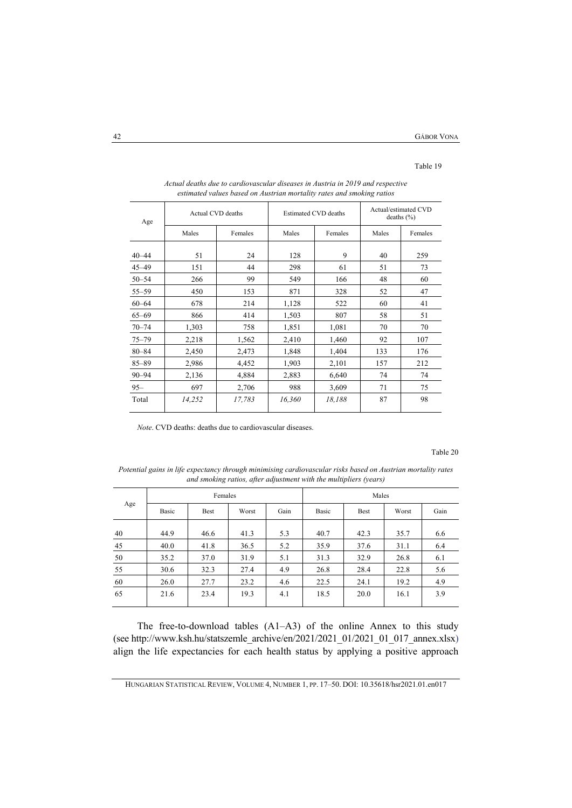#### Table 19

| Age       | Actual CVD deaths |         |        | <b>Estimated CVD deaths</b> | Actual/estimated CVD<br>deaths $(\% )$ |         |
|-----------|-------------------|---------|--------|-----------------------------|----------------------------------------|---------|
|           | Males             | Females | Males  | Females                     | Males                                  | Females |
| $40 - 44$ | 51                | 24      | 128    | 9                           | 40                                     | 259     |
| $45 - 49$ | 151               | 44      | 298    | 61                          | 51                                     | 73      |
| $50 - 54$ | 266               | 99      | 549    | 166                         | 48                                     | 60      |
| $55 - 59$ | 450               | 153     | 871    | 328                         | 52                                     | 47      |
| $60 - 64$ | 678               | 214     | 1,128  | 522                         | 60                                     | 41      |
| $65 - 69$ | 866               | 414     | 1,503  | 807                         | 58                                     | 51      |
| $70 - 74$ | 1,303             | 758     | 1,851  | 1,081                       | 70                                     | 70      |
| $75 - 79$ | 2,218             | 1,562   | 2,410  | 1,460                       | 92                                     | 107     |
| $80 - 84$ | 2,450             | 2,473   | 1,848  | 1,404                       | 133                                    | 176     |
| $85 - 89$ | 2,986             | 4,452   | 1,903  | 2,101                       | 157                                    | 212     |
| $90 - 94$ | 2,136             | 4,884   | 2,883  | 6,640                       | 74                                     | 74      |
| $95 -$    | 697               | 2,706   | 988    | 3,609                       | 71                                     | 75      |
| Total     | 14,252            | 17,783  | 16,360 | 18,188                      | 87                                     | 98      |

|  | Actual deaths due to cardiovascular diseases in Austria in 2019 and respective |  |  |
|--|--------------------------------------------------------------------------------|--|--|
|  | estimated values based on Austrian mortality rates and smoking ratios          |  |  |

*Note*. CVD deaths: deaths due to cardiovascular diseases.

#### Table 20

*Potential gains in life expectancy through minimising cardiovascular risks based on Austrian mortality rates and smoking ratios, after adjustment with the multipliers (years)* 

| Age    |       | Females     |       |      | Males |      |       |      |  |
|--------|-------|-------------|-------|------|-------|------|-------|------|--|
|        | Basic | <b>Best</b> | Worst | Gain | Basic | Best | Worst | Gain |  |
| 40     | 44.9  | 46.6        | 41.3  | 5.3  | 40.7  | 42.3 | 35.7  | 6.6  |  |
| 45     | 40.0  | 41.8        | 36.5  | 5.2  | 35.9  | 37.6 | 31.1  | 6.4  |  |
| $50\,$ | 35.2  | 37.0        | 31.9  | 5.1  | 31.3  | 32.9 | 26.8  | 6.1  |  |
| 55     | 30.6  | 32.3        | 27.4  | 4.9  | 26.8  | 28.4 | 22.8  | 5.6  |  |
| 60     | 26.0  | 27.7        | 23.2  | 4.6  | 22.5  | 24.1 | 19.2  | 4.9  |  |
| 65     | 21.6  | 23.4        | 19.3  | 4.1  | 18.5  | 20.0 | 16.1  | 3.9  |  |

The free-to-download tables (A1–A3) of the online Annex to this study (see http://www.ksh.hu/statszemle\_archive/en/2021/2021\_01/2021\_01\_017\_annex.xlsx) align the life expectancies for each health status by applying a positive approach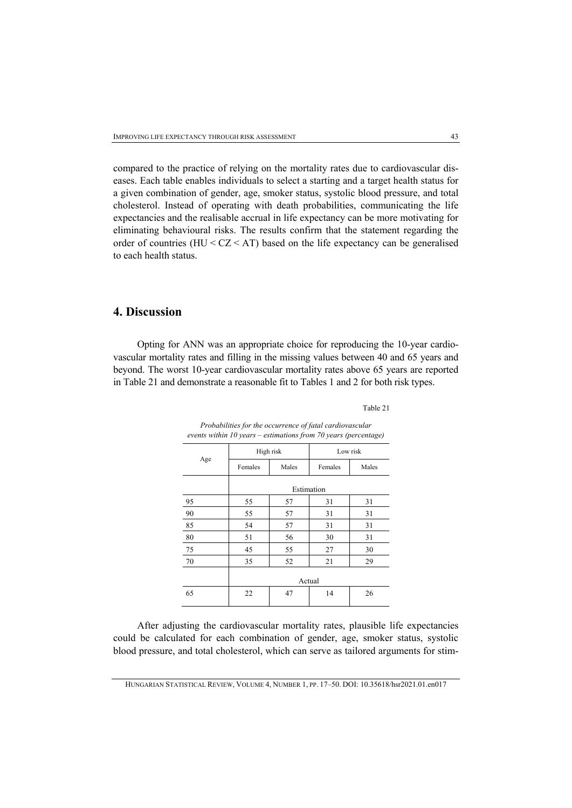compared to the practice of relying on the mortality rates due to cardiovascular diseases. Each table enables individuals to select a starting and a target health status for a given combination of gender, age, smoker status, systolic blood pressure, and total cholesterol. Instead of operating with death probabilities, communicating the life expectancies and the realisable accrual in life expectancy can be more motivating for eliminating behavioural risks. The results confirm that the statement regarding the order of countries (HU  $\leq$  CZ  $\leq$  AT) based on the life expectancy can be generalised to each health status.

## **4. Discussion**

Opting for ANN was an appropriate choice for reproducing the 10-year cardiovascular mortality rates and filling in the missing values between 40 and 65 years and beyond. The worst 10-year cardiovascular mortality rates above 65 years are reported in Table 21 and demonstrate a reasonable fit to Tables 1 and 2 for both risk types.

| events within TO years – estimations from 70 years (percentage) |                             |           |          |    |  |  |  |  |
|-----------------------------------------------------------------|-----------------------------|-----------|----------|----|--|--|--|--|
| Age                                                             |                             | High risk | Low risk |    |  |  |  |  |
|                                                                 | Males<br>Females<br>Females |           | Males    |    |  |  |  |  |
|                                                                 | Estimation                  |           |          |    |  |  |  |  |
| 95                                                              | 55<br>57<br>31              |           |          | 31 |  |  |  |  |
| 90                                                              | 55                          | 57        | 31       | 31 |  |  |  |  |
| 85                                                              | 54                          | 57        | 31       | 31 |  |  |  |  |
| 80                                                              | 51                          | 56        | 30       | 31 |  |  |  |  |
| 75                                                              | 45                          | 55        | 27       | 30 |  |  |  |  |
| 70                                                              | 35                          | 52        | 21       | 29 |  |  |  |  |
|                                                                 | Actual                      |           |          |    |  |  |  |  |
| 65                                                              | 22                          | 47<br>14  |          | 26 |  |  |  |  |

*Probabilities for the occurrence of fatal cardiovascular events within 10 years – estimations from 70 years (percentage)* 

Table 21

After adjusting the cardiovascular mortality rates, plausible life expectancies could be calculated for each combination of gender, age, smoker status, systolic blood pressure, and total cholesterol, which can serve as tailored arguments for stim-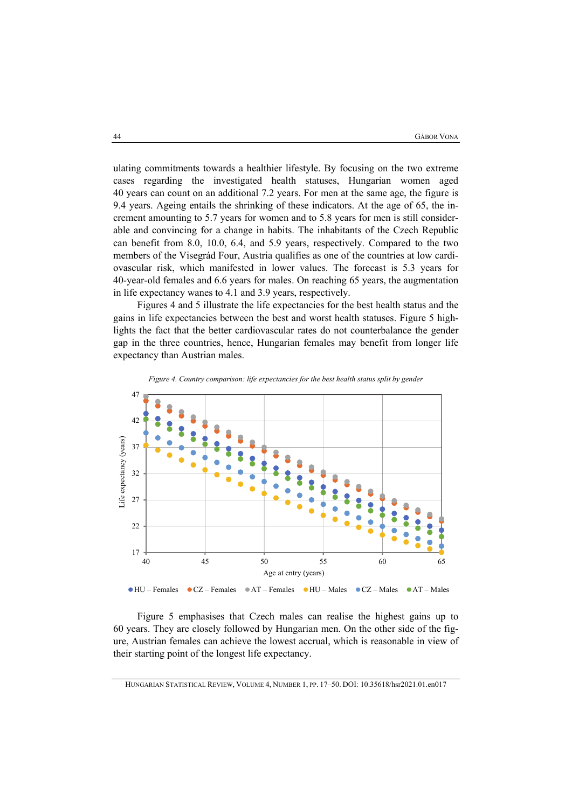ulating commitments towards a healthier lifestyle. By focusing on the two extreme cases regarding the investigated health statuses, Hungarian women aged 40 years can count on an additional 7.2 years. For men at the same age, the figure is 9.4 years. Ageing entails the shrinking of these indicators. At the age of 65, the increment amounting to 5.7 years for women and to 5.8 years for men is still considerable and convincing for a change in habits. The inhabitants of the Czech Republic can benefit from 8.0, 10.0, 6.4, and 5.9 years, respectively. Compared to the two members of the Visegrád Four, Austria qualifies as one of the countries at low cardiovascular risk, which manifested in lower values. The forecast is 5.3 years for 40-year-old females and 6.6 years for males. On reaching 65 years, the augmentation in life expectancy wanes to 4.1 and 3.9 years, respectively.

Figures 4 and 5 illustrate the life expectancies for the best health status and the gains in life expectancies between the best and worst health statuses. Figure 5 highlights the fact that the better cardiovascular rates do not counterbalance the gender gap in the three countries, hence, Hungarian females may benefit from longer life expectancy than Austrian males.



Figure 5 emphasises that Czech males can realise the highest gains up to 60 years. They are closely followed by Hungarian men. On the other side of the figure, Austrian females can achieve the lowest accrual, which is reasonable in view of their starting point of the longest life expectancy.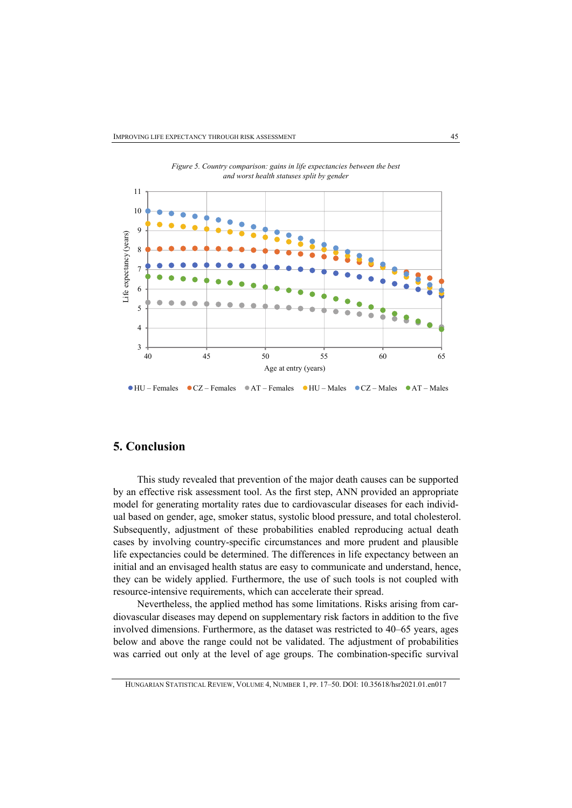

*Figure 5. Country comparison: gains in life expectancies between the best* 

 $\bullet$  HU – Females  $\bullet$  CZ – Females  $\bullet$  AT – Females  $\bullet$  HU – Males  $\bullet$  CZ – Males  $\bullet$  AT – Males

## **5. Conclusion**

This study revealed that prevention of the major death causes can be supported by an effective risk assessment tool. As the first step, ANN provided an appropriate model for generating mortality rates due to cardiovascular diseases for each individual based on gender, age, smoker status, systolic blood pressure, and total cholesterol. Subsequently, adjustment of these probabilities enabled reproducing actual death cases by involving country-specific circumstances and more prudent and plausible life expectancies could be determined. The differences in life expectancy between an initial and an envisaged health status are easy to communicate and understand, hence, they can be widely applied. Furthermore, the use of such tools is not coupled with resource-intensive requirements, which can accelerate their spread.

Nevertheless, the applied method has some limitations. Risks arising from cardiovascular diseases may depend on supplementary risk factors in addition to the five involved dimensions. Furthermore, as the dataset was restricted to 40–65 years, ages below and above the range could not be validated. The adjustment of probabilities was carried out only at the level of age groups. The combination-specific survival

HUNGARIAN STATISTICAL REVIEW, VOLUME 4, NUMBER 1, PP. 17–50. DOI: 10.35618/hsr2021.01.en017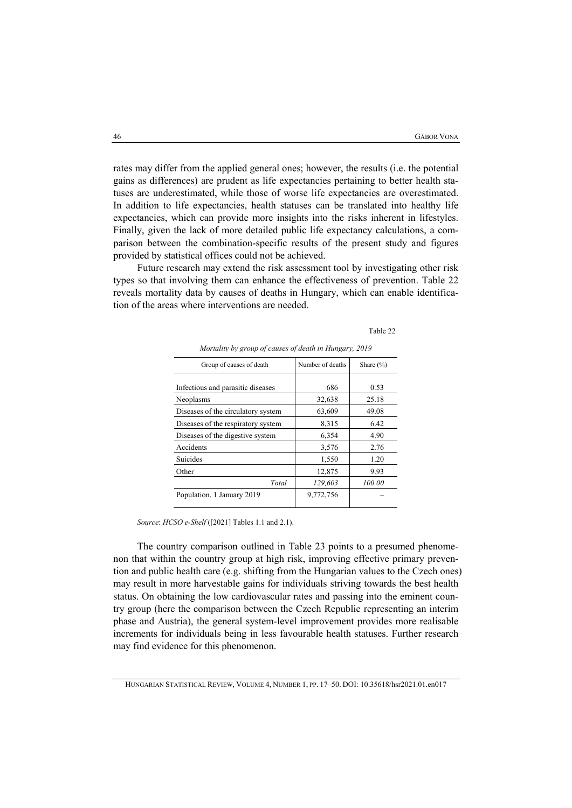rates may differ from the applied general ones; however, the results (i.e. the potential gains as differences) are prudent as life expectancies pertaining to better health statuses are underestimated, while those of worse life expectancies are overestimated. In addition to life expectancies, health statuses can be translated into healthy life expectancies, which can provide more insights into the risks inherent in lifestyles. Finally, given the lack of more detailed public life expectancy calculations, a comparison between the combination-specific results of the present study and figures provided by statistical offices could not be achieved.

Future research may extend the risk assessment tool by investigating other risk types so that involving them can enhance the effectiveness of prevention. Table 22 reveals mortality data by causes of deaths in Hungary, which can enable identification of the areas where interventions are needed.

#### Table 22

| Group of causes of death           | Number of deaths | Share $(\% )$ |  |
|------------------------------------|------------------|---------------|--|
|                                    |                  |               |  |
| Infectious and parasitic diseases  | 686              | 0.53          |  |
| Neoplasms                          | 32,638           | 25.18         |  |
| Diseases of the circulatory system | 63,609           | 49.08         |  |
| Diseases of the respiratory system | 8,315            | 6.42          |  |
| Diseases of the digestive system   | 6,354            | 4.90          |  |
| Accidents                          | 3,576            | 2.76          |  |
| Suicides                           | 1,550            | 1.20          |  |
| Other                              | 12,875           | 9.93          |  |
| Total                              | 129,603          | 100.00        |  |
| Population, 1 January 2019         | 9,772,756        |               |  |
|                                    |                  |               |  |

*Mortality by group of causes of death in Hungary, 2019* 

*Source*: *HCSO e-Shelf* ([2021] Tables 1.1 and 2.1).

The country comparison outlined in Table 23 points to a presumed phenomenon that within the country group at high risk, improving effective primary prevention and public health care (e.g. shifting from the Hungarian values to the Czech ones) may result in more harvestable gains for individuals striving towards the best health status. On obtaining the low cardiovascular rates and passing into the eminent country group (here the comparison between the Czech Republic representing an interim phase and Austria), the general system-level improvement provides more realisable increments for individuals being in less favourable health statuses. Further research may find evidence for this phenomenon.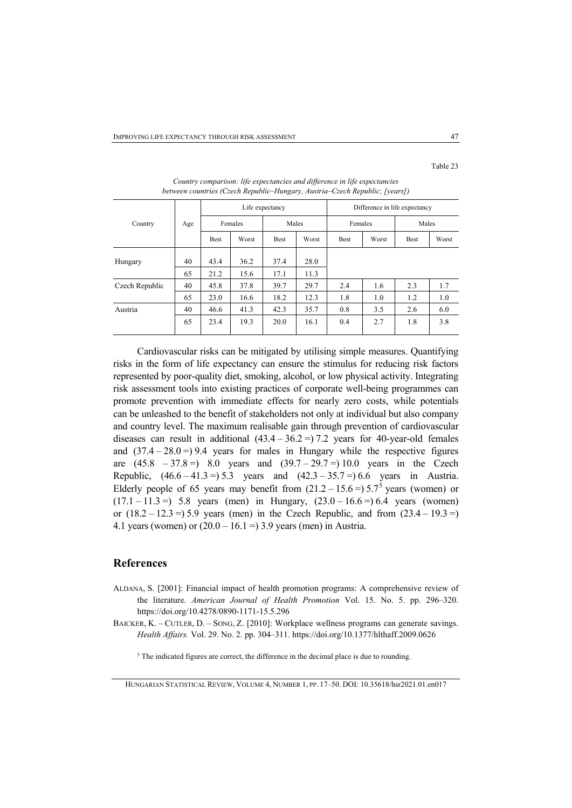|                | Age      | Life expectancy |              |              |              | Difference in life expectancy |       |             |       |
|----------------|----------|-----------------|--------------|--------------|--------------|-------------------------------|-------|-------------|-------|
| Country        |          | Females         |              | Males        |              | Females                       |       | Males       |       |
|                |          | Best            | Worst        | <b>Best</b>  | Worst        | <b>Best</b>                   | Worst | <b>Best</b> | Worst |
| Hungary        | 40<br>65 | 43.4<br>21.2    | 36.2<br>15.6 | 37.4<br>17.1 | 28.0<br>11.3 |                               |       |             |       |
| Czech Republic | 40       | 45.8            | 37.8         | 39.7         | 29.7         | 2.4                           | 1.6   | 2.3         | 1.7   |
|                | 65       | 23.0            | 16.6         | 18.2         | 12.3         | 1.8                           | 1.0   | 1.2         | 1.0   |
| Austria        | 40       | 46.6            | 41.3         | 42.3         | 35.7         | 0.8                           | 3.5   | 2.6         | 6.0   |
|                | 65       | 23.4            | 19.3         | 20.0         | 16.1         | 0.4                           | 2.7   | 1.8         | 3.8   |

*Country comparison: life expectancies and difference in life expectancies between countries (Czech Republic–Hungary, Austria–Czech Republic; [years])* 

Cardiovascular risks can be mitigated by utilising simple measures. Quantifying risks in the form of life expectancy can ensure the stimulus for reducing risk factors represented by poor-quality diet, smoking, alcohol, or low physical activity. Integrating risk assessment tools into existing practices of corporate well-being programmes can promote prevention with immediate effects for nearly zero costs, while potentials can be unleashed to the benefit of stakeholders not only at individual but also company and country level. The maximum realisable gain through prevention of cardiovascular diseases can result in additional  $(43.4 - 36.2 =) 7.2$  years for 40-year-old females and  $(37.4 - 28.0 = 9.4$  years for males in Hungary while the respective figures are  $(45.8 - 37.8 =)$  8.0 years and  $(39.7 - 29.7 =) 10.0$  years in the Czech Republic,  $(46.6 - 41.3 = 5.3$  years and  $(42.3 - 35.7 = 6.6$  years in Austria. Elderly people of 65 years may benefit from  $(21.2 - 15.6 =) 5.7^5$  years (women) or  $(17.1 - 11.3 =)$  5.8 years (men) in Hungary,  $(23.0 - 16.6 =) 6.4$  years (women) or  $(18.2 - 12.3 = 5.9$  years (men) in the Czech Republic, and from  $(23.4 - 19.3 =)$ 4.1 years (women) or  $(20.0 - 16.1 =) 3.9$  years (men) in Austria.

### **References**

- ALDANA, S. [2001]: Financial impact of health promotion programs: A comprehensive review of the literature. *American Journal of Health Promotion* Vol. 15. No. 5. pp. 296–320. https://doi.org/10.4278/0890-1171-15.5.296
- BAICKER, K. CUTLER, D. SONG, Z. [2010]: Workplace wellness programs can generate savings. *Health Affairs.* Vol. 29. No. 2. pp. 304–311. https://doi.org/10.1377/hlthaff.2009.0626

<sup>5</sup> The indicated figures are correct, the difference in the decimal place is due to rounding.

Table 23

HUNGARIAN STATISTICAL REVIEW, VOLUME 4, NUMBER 1, PP. 17–50. DOI: 10.35618/hsr2021.01.en017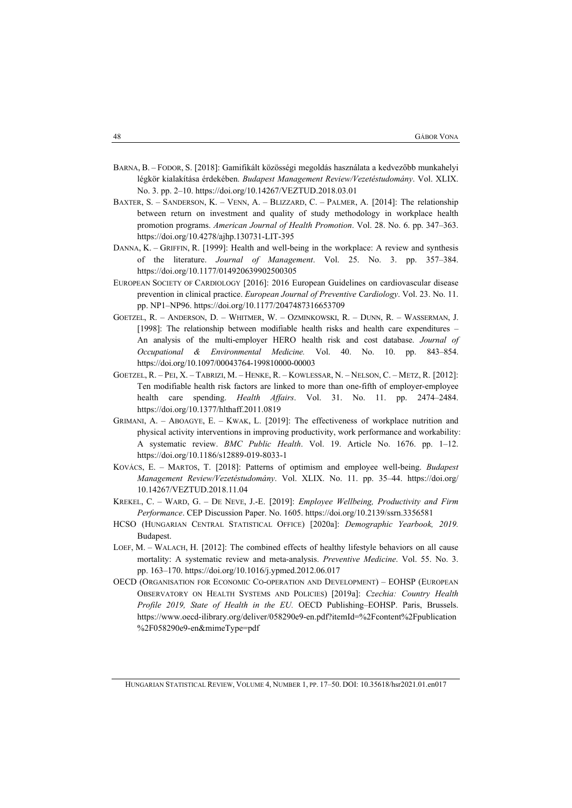- BARNA, B. FODOR, S. [2018]: Gamifikált közösségi megoldás használata a kedvezőbb munkahelyi légkör kialakítása érdekében. *Budapest Management Review/Vezetéstudomány*. Vol. XLIX. No. 3. pp. 2–10. https://doi.org/10.14267/VEZTUD.2018.03.01
- BAXTER, S. SANDERSON, K. VENN, A. BLIZZARD, C. PALMER, A. [2014]: The relationship between return on investment and quality of study methodology in workplace health promotion programs. *American Journal of Health Promotion*. Vol. 28. No. 6. pp. 347–363. https://doi.org/10.4278/ajhp.130731-LIT-395
- DANNA, K. GRIFFIN, R. [1999]: Health and well-being in the workplace: A review and synthesis of the literature. *Journal of Management*. Vol. 25. No. 3. pp. 357–384. https://doi.org/10.1177/014920639902500305
- EUROPEAN SOCIETY OF CARDIOLOGY [2016]: 2016 European Guidelines on cardiovascular disease prevention in clinical practice. *European Journal of Preventive Cardiology*. Vol. 23. No. 11. pp. NP1–NP96. https://doi.org/10.1177/2047487316653709
- GOETZEL, R. ANDERSON, D. WHITMER, W. OZMINKOWSKI, R. DUNN, R. WASSERMAN, J. [1998]: The relationship between modifiable health risks and health care expenditures – An analysis of the multi-employer HERO health risk and cost database. *Journal of Occupational & Environmental Medicine.* Vol. 40. No. 10. pp. 843–854. https://doi.org/10.1097/00043764-199810000-00003
- GOETZEL, R. PEI, X. TABRIZI, M. HENKE, R. KOWLESSAR, N. NELSON, C. METZ, R. [2012]: Ten modifiable health risk factors are linked to more than one-fifth of employer-employee health care spending. *Health Affairs*. Vol. 31. No. 11. pp. 2474–2484. https://doi.org/10.1377/hlthaff.2011.0819
- GRIMANI, A. ABOAGYE, E. KWAK, L. [2019]: The effectiveness of workplace nutrition and physical activity interventions in improving productivity, work performance and workability: A systematic review. *BMC Public Health*. Vol. 19. Article No. 1676. pp. 1–12. https://doi.org/10.1186/s12889-019-8033-1
- KOVÁCS, E. MARTOS, T. [2018]: Patterns of optimism and employee well-being. *Budapest Management Review/Vezetéstudomány*. Vol. XLIX. No. 11. pp. 35–44. https://doi.org/ 10.14267/VEZTUD.2018.11.04
- KREKEL, C. WARD, G. DE NEVE, J.-E. [2019]: *Employee Wellbeing, Productivity and Firm Performance*. CEP Discussion Paper. No. 1605. https://doi.org/10.2139/ssrn.3356581
- HCSO (HUNGARIAN CENTRAL STATISTICAL OFFICE) [2020a]: *Demographic Yearbook, 2019.* Budapest.
- LOEF, M. WALACH, H. [2012]: The combined effects of healthy lifestyle behaviors on all cause mortality: A systematic review and meta-analysis. *Preventive Medicine*. Vol. 55. No. 3. pp. 163–170. https://doi.org/10.1016/j.ypmed.2012.06.017
- OECD (ORGANISATION FOR ECONOMIC CO-OPERATION AND DEVELOPMENT) EOHSP (EUROPEAN OBSERVATORY ON HEALTH SYSTEMS AND POLICIES) [2019a]: *Czechia: Country Health Profile 2019, State of Health in the EU.* OECD Publishing–EOHSP. Paris, Brussels. https://www.oecd-ilibrary.org/deliver/058290e9-en.pdf?itemId=%2Fcontent%2Fpublication %2F058290e9-en&mimeType=pdf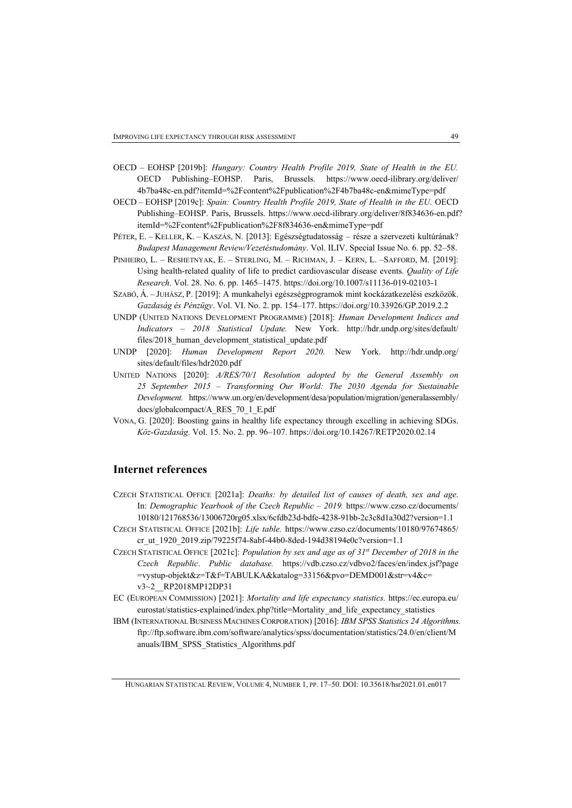- OECD EOHSP [2019b]: *Hungary: Country Health Profile 2019, State of Health in the EU.* OECD Publishing–EOHSP. Paris, Brussels. https://www.oecd-ilibrary.org/deliver/ 4b7ba48c-en.pdf?itemId=%2Fcontent%2Fpublication%2F4b7ba48c-en&mimeType=pdf
- OECD EOHSP [2019c]: *Spain: Country Health Profile 2019, State of Health in the EU*. OECD Publishing–EOHSP. Paris, Brussels. https://www.oecd-ilibrary.org/deliver/8f834636-en.pdf? itemId=%2Fcontent%2Fpublication%2F8f834636-en&mimeType=pdf
- PÉTER, E. KELLER, K. KASZÁS, N. [2013]: Egészségtudatosság része a szervezeti kultúrának? *Budapest Management Review/Vezetéstudomány*. Vol. ILIV. Special Issue No. 6. pp. 52–58.
- PINHEIRO, L. RESHETNYAK, E. STERLING, M. RICHMAN, J. KERN, L. –SAFFORD, M. [2019]: Using health-related quality of life to predict cardiovascular disease events. *Quality of Life Research*. Vol. 28. No. 6. pp. 1465–1475. https://doi.org/10.1007/s11136-019-02103-1
- SZABÓ, Á. JUHÁSZ, P. [2019]: A munkahelyi egészségprogramok mint kockázatkezelési eszközök. *Gazdaság és Pénzügy*. Vol. VI. No. 2. pp. 154–177. https://doi.org/10.33926/GP.2019.2.2
- UNDP (UNITED NATIONS DEVELOPMENT PROGRAMME) [2018]: *Human Development Indices and Indicators – 2018 Statistical Update.* New York. http://hdr.undp.org/sites/default/ files/2018\_human\_development\_statistical\_update.pdf
- UNDP [2020]: *Human Development Report 2020.* New York. http://hdr.undp.org/ sites/default/files/hdr2020.pdf
- UNITED NATIONS [2020]: *A/RES/70/1 Resolution adopted by the General Assembly on 25 September 2015 – Transforming Our World: The 2030 Agenda for Sustainable Development.* https://www.un.org/en/development/desa/population/migration/generalassembly/ docs/globalcompact/A\_RES\_70\_1\_E.pdf
- VONA, G. [2020]: Boosting gains in healthy life expectancy through excelling in achieving SDGs. *Köz-Gazdaság*. Vol. 15. No. 2. pp. 96–107. https://doi.org/10.14267/RETP2020.02.14

## **Internet references**

- CZECH STATISTICAL OFFICE [2021a]: *Deaths: by detailed list of causes of death, sex and age*. In: *Demographic Yearbook of the Czech Republic – 2019.* https://www.czso.cz/documents/ 10180/121768536/13006720rg05.xlsx/6cfdb23d-bdfe-4238-91bb-2c3c8d1a30d2?version=1.1
- CZECH STATISTICAL OFFICE [2021b]: *Life table.* https://www.czso.cz/documents/10180/97674865/ cr\_ut\_1920\_2019.zip/79225f74-8abf-44b0-8ded-194d38194e0c?version=1.1
- CZECH STATISTICAL OFFICE [2021c]: *Population by sex and age as of 31st December of 2018 in the Czech Republic*. *Public database.* https://vdb.czso.cz/vdbvo2/faces/en/index.jsf?page =vystup-objekt&z=T&f=TABULKA&katalog=33156&pvo=DEMD001&str=v4&c= v3~2\_\_RP2018MP12DP31
- EC (EUROPEAN COMMISSION) [2021]: *Mortality and life expectancy statistics.* https://ec.europa.eu/ eurostat/statistics-explained/index.php?title=Mortality\_and\_life\_expectancy\_statistics
- IBM (INTERNATIONAL BUSINESS MACHINES CORPORATION) [2016]: *IBM SPSS Statistics 24 Algorithms.* ftp://ftp.software.ibm.com/software/analytics/spss/documentation/statistics/24.0/en/client/M anuals/IBM\_SPSS\_Statistics\_Algorithms.pdf